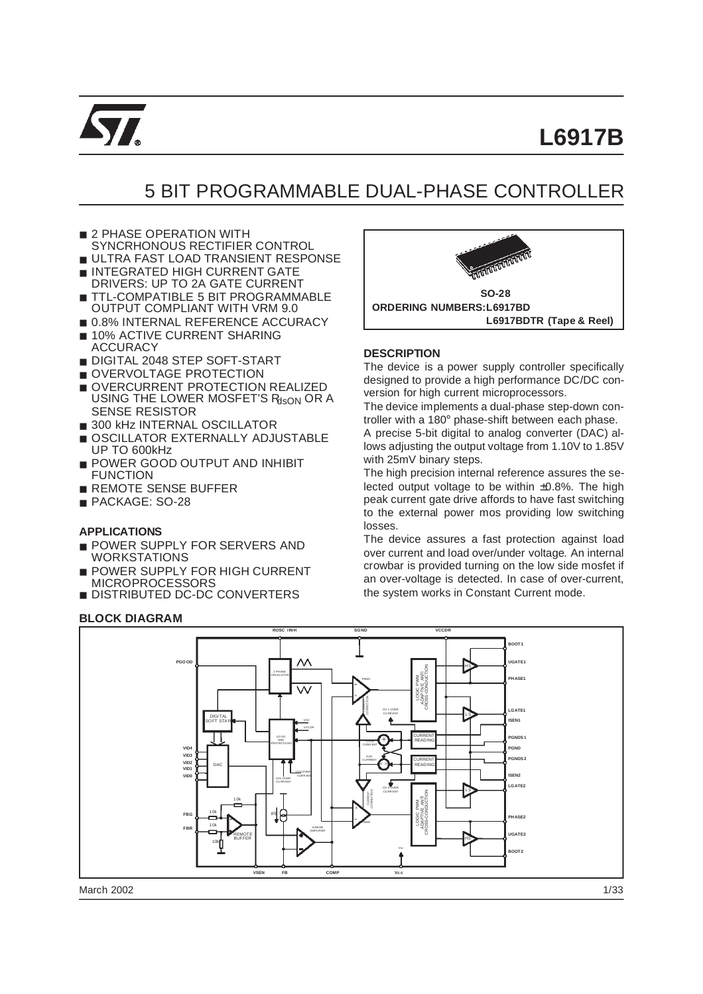

# **L6917B**

## 5 BIT PROGRAMMABLE DUAL-PHASE CONTROLLER

- 2 PHASE OPERATION WITH SYNCRHONOUS RECTIFIER CONTROL
- ULTRA FAST LOAD TRANSIENT RESPONSE
- INTEGRATED HIGH CURRENT GATE DRIVERS: UP TO 2A GATE CURRENT
- TTL-COMPATIBLE 5 BIT PROGRAMMABLE OUTPUT COMPLIANT WITH VRM 9.0
- 0.8% INTERNAL REFERENCE ACCURACY 10% ACTIVE CURRENT SHARING
- **ACCURACY** ■ DIGITAL 2048 STEP SOFT-START
- OVERVOLTAGE PROTECTION
- OVERCURRENT PROTECTION REALIZED USING THE LOWER MOSFET'S RdsON OR A SENSE RESISTOR
- 300 kHz INTERNAL OSCILLATOR
- OSCILLATOR EXTERNALLY ADJUSTABLE UP TO 600kHz
- POWER GOOD OUTPUT AND INHIBIT FUNCTION
- REMOTE SENSE BUFFER
- PACKAGE: SO-28

#### **APPLICATIONS**

- POWER SUPPLY FOR SERVERS AND WORKSTATIONS
- POWER SUPPLY FOR HIGH CURRENT MICROPROCESSORS
- DISTRIBUTED DC-DC CONVERTERS

## **BLOCK DIAGRAM**



## **DESCRIPTION**

The device is a power supply controller specifically designed to provide a high performance DC/DC conversion for high current microprocessors.

The device implements a dual-phase step-down controller with a 180° phase-shift between each phase.

A precise 5-bit digital to analog converter (DAC) allows adjusting the output voltage from 1.10V to 1.85V with 25mV binary steps.

The high precision internal reference assures the selected output voltage to be within ±0.8%. The high peak current gate drive affords to have fast switching to the external power mos providing low switching losses.

The device assures a fast protection against load over current and load over/under voltage. An internal crowbar is provided turning on the low side mosfet if an over-voltage is detected. In case of over-current, the system works in Constant Current mode.

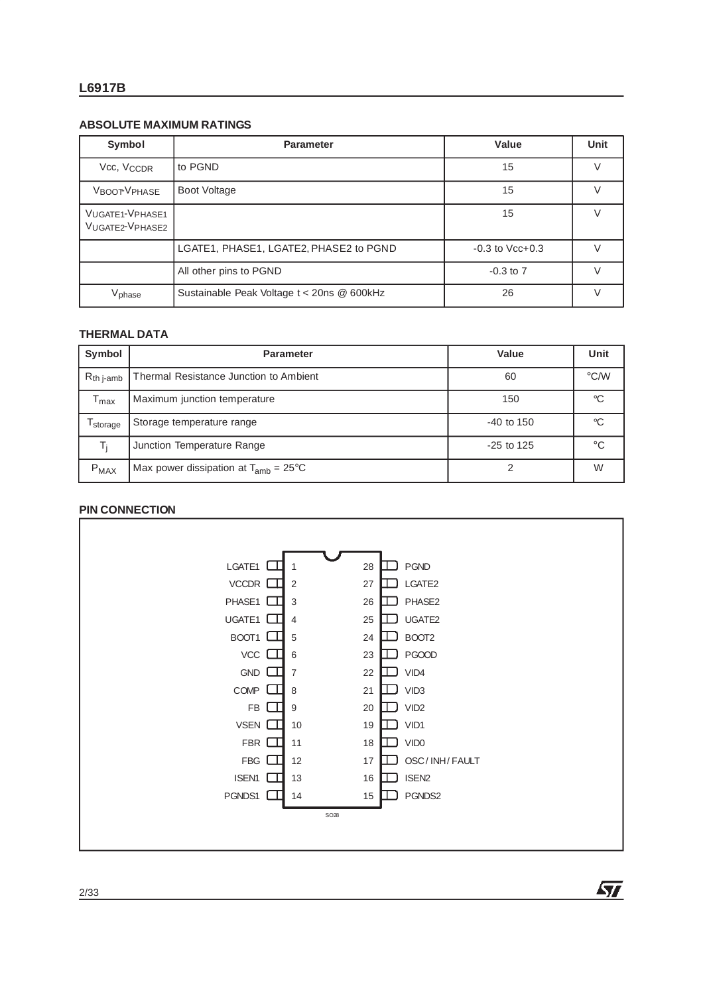## **L6917B**

## **ABSOLUTE MAXIMUM RATINGS**

| Symbol                             | <b>Parameter</b>                           | Value               | <b>Unit</b> |
|------------------------------------|--------------------------------------------|---------------------|-------------|
| Vcc, V <sub>CCDR</sub>             | to PGND                                    | 15                  |             |
| <b>VBOOTVPHASE</b>                 | Boot Voltage                               | 15                  |             |
| VUGATE1-VPHASE1<br>VUGATE2-VPHASE2 |                                            | 15                  |             |
|                                    | LGATE1, PHASE1, LGATE2, PHASE2 to PGND     | $-0.3$ to $Vcc+0.3$ |             |
|                                    | All other pins to PGND                     | $-0.3$ to $7$       |             |
| V <sub>phase</sub>                 | Sustainable Peak Voltage t < 20ns @ 600kHz | 26                  |             |

#### **THERMAL DATA**

| Symbol                           | <b>Parameter</b>                                  | Value        | Unit               |
|----------------------------------|---------------------------------------------------|--------------|--------------------|
| $\mathsf{R}_{\mathsf{th}}$ j-amb | Thermal Resistance Junction to Ambient            | 60           | $\rm ^{\circ}$ C/W |
| $\Gamma_{\text{max}}$            | Maximum junction temperature                      | 150          | ∘C                 |
| <sup>i</sup> storage             | Storage temperature range                         | $-40$ to 150 | ∘C                 |
| T:                               | Junction Temperature Range                        | $-25$ to 125 | °C                 |
| $P_{MAX}$                        | Max power dissipation at $T_{amb} = 25^{\circ}$ C | ◠            | W                  |

#### **PIN CONNECTION**



勾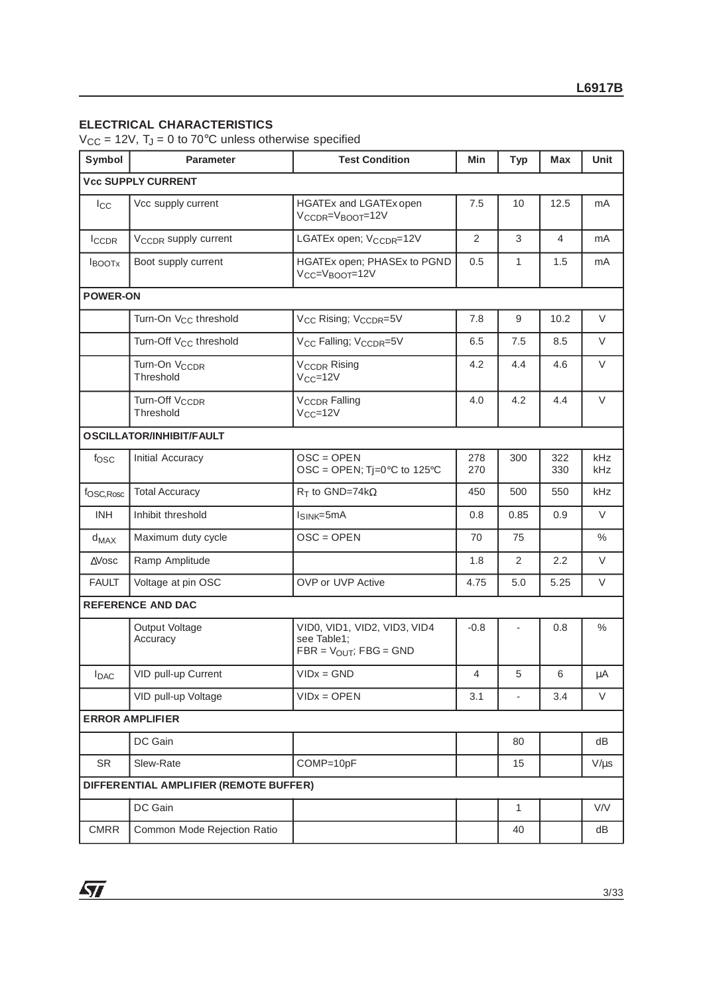## **ELECTRICAL CHARACTERISTICS**

 $V_{CC}$  = 12V, T<sub>J</sub> = 0 to 70°C unless otherwise specified

| Symbol                 | <b>Parameter</b>                        | <b>Test Condition</b>                                                        | Min        | <b>Typ</b>   | <b>Max</b> | <b>Unit</b>       |
|------------------------|-----------------------------------------|------------------------------------------------------------------------------|------------|--------------|------------|-------------------|
|                        | <b>Vcc SUPPLY CURRENT</b>               |                                                                              |            |              |            |                   |
| $_{\text{LCC}}$        | Vcc supply current                      | HGATEx and LGATEx open<br>V <sub>CCDR</sub> =V <sub>BOOT</sub> =12V          | 7.5        | 10           | 12.5       | mA                |
| <b>ICCDR</b>           | V <sub>CCDR</sub> supply current        | LGATEx open; V <sub>CCDR</sub> =12V                                          | 2          | 3            | 4          | mA                |
| <b>IBOOTX</b>          | Boot supply current                     | HGATEx open; PHASEx to PGND<br>V <sub>CC</sub> =V <sub>BOOT</sub> =12V       | 0.5        | 1            | 1.5        | mA                |
| <b>POWER-ON</b>        |                                         |                                                                              |            |              |            |                   |
|                        | Turn-On V <sub>CC</sub> threshold       | V <sub>CC</sub> Rising; V <sub>CCDR</sub> =5V                                | 7.8        | 9            | 10.2       | V                 |
|                        | Turn-Off V <sub>CC</sub> threshold      | V <sub>CC</sub> Falling; V <sub>CCDR</sub> =5V                               | 6.5        | 7.5          | 8.5        | V                 |
|                        | Turn-On V <sub>CCDR</sub><br>Threshold  | V <sub>CCDR</sub> Rising<br>$V_{CC} = 12V$                                   | 4.2        | 4.4          | 4.6        | $\vee$            |
|                        | Turn-Off V <sub>CCDR</sub><br>Threshold | <b>V<sub>CCDR</sub></b> Falling<br>$V_{CC} = 12V$                            | 4.0        | 4.2          | 4.4        | $\vee$            |
|                        | OSCILLATOR/INHIBIT/FAULT                |                                                                              |            |              |            |                   |
| fosc                   | Initial Accuracy                        | $OSC = OPER$<br>OSC = OPEN; Tj=0 $\degree$ C to 125 $\degree$ C              | 278<br>270 | 300          | 322<br>330 | kHz<br><b>kHz</b> |
| f <sub>OSC, Rosc</sub> | <b>Total Accuracy</b>                   | $R_T$ to GND=74k $\Omega$                                                    | 450        | 500          | 550        | kHz               |
| <b>INH</b>             | Inhibit threshold                       | $ISINK=5mA$                                                                  | 0.8        | 0.85         | 0.9        | $\vee$            |
| $d_{MAX}$              | Maximum duty cycle                      | $OSC = OPEN$                                                                 | 70         | 75           |            | $\%$              |
| $\triangle$ Vosc       | Ramp Amplitude                          |                                                                              | 1.8        | 2            | 2.2        | V                 |
| <b>FAULT</b>           | Voltage at pin OSC                      | OVP or UVP Active                                                            | 4.75       | 5.0          | 5.25       | V                 |
|                        | <b>REFERENCE AND DAC</b>                |                                                                              |            |              |            |                   |
|                        | Output Voltage<br>Accuracy              | VID0, VID1, VID2, VID3, VID4<br>see Table1;<br>$FBR = V_{OUT}$ ; $FBG = GND$ | $-0.8$     |              | 0.8        | $\%$              |
| $I_{\text{DAC}}$       | VID pull-up Current                     | $VIDX = GND$                                                                 | 4          | 5            | 6          | μA                |
|                        | VID pull-up Voltage                     | $VIDX = OPER$                                                                | 3.1        | ÷,           | 3.4        | $\vee$            |
|                        | <b>ERROR AMPLIFIER</b>                  |                                                                              |            |              |            |                   |
|                        | DC Gain                                 |                                                                              |            | 80           |            | dB                |
| <b>SR</b>              | Slew-Rate                               | COMP=10pF                                                                    |            | 15           |            | $V/\mu s$         |
|                        | DIFFERENTIAL AMPLIFIER (REMOTE BUFFER)  |                                                                              |            |              |            |                   |
|                        | DC Gain                                 |                                                                              |            | $\mathbf{1}$ |            | V/V               |
| <b>CMRR</b>            | Common Mode Rejection Ratio             |                                                                              |            | 40           |            | dB                |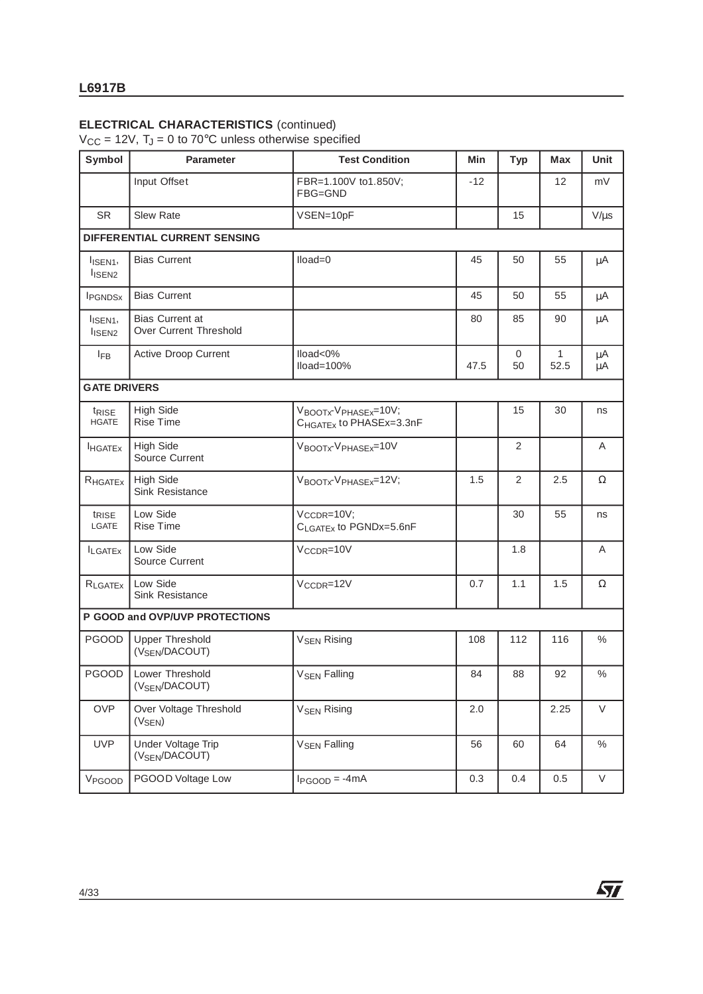## **ELECTRICAL CHARACTERISTICS** (continued)

 $V_{\text{CC}}$  = 12V, T<sub>J</sub> = 0 to 70°C unless otherwise specified

| Symbol                                    | <b>Parameter</b>                                     | <b>Test Condition</b>                                      | Min   | <b>Typ</b>        | <b>Max</b>           | Unit      |
|-------------------------------------------|------------------------------------------------------|------------------------------------------------------------|-------|-------------------|----------------------|-----------|
|                                           | Input Offset                                         | FBR=1.100V to1.850V;<br>FBG=GND                            | $-12$ |                   | $12 \overline{ }$    | mV        |
| <b>SR</b>                                 | <b>Slew Rate</b>                                     | VSEN=10pF                                                  |       | 15                |                      | $V/\mu s$ |
|                                           | DIFFERENTIAL CURRENT SENSING                         |                                                            |       |                   |                      |           |
| I <sub>ISEN1</sub> ,<br>ISEN <sub>2</sub> | <b>Bias Current</b>                                  | $Iload = 0$                                                | 45    | 50                | 55                   | μA        |
| <b>IPGNDSx</b>                            | <b>Bias Current</b>                                  |                                                            | 45    | 50                | 55                   | μA        |
| $I_{\text{ISEN1}}$<br>ISEN <sub>2</sub>   | <b>Bias Current at</b><br>Over Current Threshold     |                                                            | 80    | 85                | 90                   | μA        |
| <b>IFB</b>                                | Active Droop Current                                 | lload<0%<br>lload=100%                                     | 47.5  | $\mathbf 0$<br>50 | $\mathbf{1}$<br>52.5 | μA<br>μA  |
| <b>GATE DRIVERS</b>                       |                                                      |                                                            |       |                   |                      |           |
| <sup>t</sup> RISE<br><b>HGATE</b>         | <b>High Side</b><br><b>Rise Time</b>                 | VBOOTx-VPHASEx=10V;<br>C <sub>HGATEx</sub> to PHASEx=3.3nF |       | 15                | 30                   | ns        |
| <b>I</b> HGATEX                           | <b>High Side</b><br>Source Current                   | VBOOTx-VPHASEx=10V                                         |       | 2                 |                      | A         |
| R <sub>HGATEx</sub>                       | <b>High Side</b><br><b>Sink Resistance</b>           | VBOOTX-VPHASEX=12V;                                        | 1.5   | 2                 | 2.5                  | $\Omega$  |
| trise<br>LGATE                            | Low Side<br><b>Rise Time</b>                         | VCCDR=10V;<br>CLGATEx to PGNDx=5.6nF                       |       | 30                | 55                   | ns        |
| <b>ILGATEX</b>                            | Low Side<br>Source Current                           | V <sub>CCDR</sub> =10V                                     |       | 1.8               |                      | A         |
| RLGATEX                                   | Low Side<br>Sink Resistance                          | V <sub>CCDR</sub> =12V                                     | 0.7   | 1.1               | 1.5                  | $\Omega$  |
|                                           | P GOOD and OVP/UVP PROTECTIONS                       |                                                            |       |                   |                      |           |
| <b>PGOOD</b>                              | <b>Upper Threshold</b><br>(V <sub>SEN</sub> /DACOUT) | <b>V<sub>SEN</sub></b> Rising                              | 108   | 112               | 116                  | $\%$      |
| PGOOD                                     | Lower Threshold<br>(V <sub>SEN</sub> /DACOUT)        | <b>V<sub>SEN</sub></b> Falling                             | 84    | 88                | 92                   | $\%$      |
| <b>OVP</b>                                | Over Voltage Threshold<br>$(V_{SEN})$                | <b>V<sub>SEN</sub> Rising</b>                              | 2.0   |                   | 2.25                 | $\vee$    |
| <b>UVP</b>                                | Under Voltage Trip<br>(V <sub>SEN</sub> /DACOUT)     | <b>V<sub>SEN</sub></b> Falling                             | 56    | 60                | 64                   | $\%$      |
| V <sub>PGOOD</sub>                        | PGOOD Voltage Low                                    | $I_{PGOOD} = -4mA$                                         | 0.3   | 0.4               | 0.5                  | V         |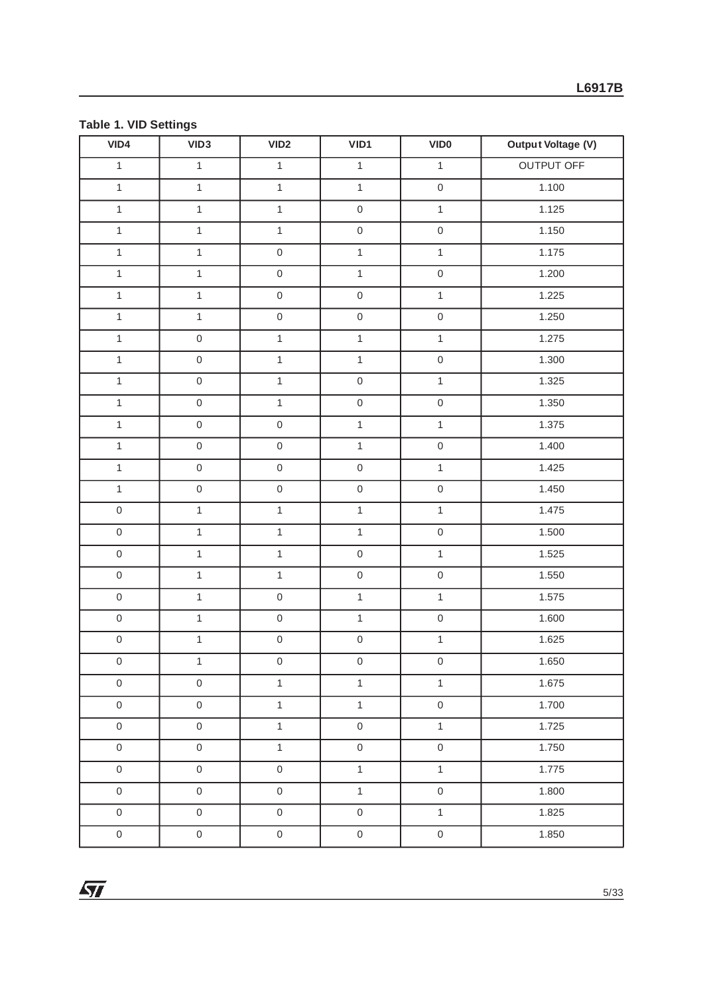## **Table 1. VID Settings**

| VID4                | VID <sub>3</sub>    | VID2                | VID1                | <b>VIDO</b>         | <b>Output Voltage (V)</b> |
|---------------------|---------------------|---------------------|---------------------|---------------------|---------------------------|
| $\mathbf{1}$        | $\mathbf{1}$        | $\mathbf{1}$        | $\mathbf{1}$        | $\mathbf{1}$        | OUTPUT OFF                |
| $\mathbf{1}$        | $\mathbf{1}$        | $\mathbf{1}$        | $\mathbf{1}$        | $\mathsf{O}\xspace$ | 1.100                     |
| $\mathbf{1}$        | $\mathbf{1}$        | $\mathbf{1}$        | $\mathsf{O}\xspace$ | $\mathbf{1}$        | 1.125                     |
| $\mathbf{1}$        | $\mathbf{1}$        | $\mathbf{1}$        | $\mathsf{O}\xspace$ | $\mathbf 0$         | 1.150                     |
| $\mathbf{1}$        | $\mathbf{1}$        | $\mathbf 0$         | $\mathbf{1}$        | $\mathbf{1}$        | 1.175                     |
| $\mathbf{1}$        | $\mathbf{1}$        | $\mathsf{O}\xspace$ | $\mathbf{1}$        | $\mathbf 0$         | 1.200                     |
| $\mathbf{1}$        | $\mathbf{1}$        | $\mathbf 0$         | $\mathsf 0$         | $\mathbf{1}$        | 1.225                     |
| $\mathbf{1}$        | $\mathbf{1}$        | $\mathbf 0$         | $\mathsf{O}\xspace$ | $\mathbf 0$         | 1.250                     |
| $\mathbf{1}$        | $\mathsf 0$         | $\mathbf{1}$        | $\mathbf{1}$        | $\mathbf{1}$        | 1.275                     |
| $\mathbf{1}$        | $\mathsf{O}\xspace$ | $\mathbf{1}$        | $\mathbf{1}$        | $\mathbf 0$         | 1.300                     |
| $\mathbf{1}$        | $\mathsf{O}\xspace$ | $\mathbf{1}$        | $\mathsf{O}\xspace$ | $\mathbf{1}$        | 1.325                     |
| $\mathbf{1}$        | $\mathsf{O}\xspace$ | $\mathbf{1}$        | $\mathsf{O}\xspace$ | $\mathbf 0$         | 1.350                     |
| $\mathbf{1}$        | $\mathsf{O}\xspace$ | $\mathbf 0$         | $\mathbf{1}$        | $\mathbf{1}$        | 1.375                     |
| $\mathbf{1}$        | $\mathsf{O}\xspace$ | $\mathbf 0$         | $\mathbf{1}$        | $\mathbf 0$         | 1.400                     |
| $\mathbf{1}$        | $\mathsf{O}\xspace$ | $\mathsf{O}\xspace$ | $\mathsf{O}\xspace$ | $\mathbf{1}$        | 1.425                     |
| $\mathbf{1}$        | $\mbox{O}$          | $\mathbf 0$         | $\mathsf 0$         | $\mathbf 0$         | 1.450                     |
| $\mathsf{O}\xspace$ | $\mathbf{1}$        | $\mathbf{1}$        | $\mathbf{1}$        | $\mathbf{1}$        | 1.475                     |
| $\mathbf 0$         | $\mathbf{1}$        | $\mathbf{1}$        | $\mathbf{1}$        | $\mathbf 0$         | 1.500                     |
| $\mathbf 0$         | $\mathbf{1}$        | $\mathbf{1}$        | $\mathsf 0$         | $\mathbf{1}$        | 1.525                     |
| $\mathbf 0$         | $\mathbf{1}$        | $\mathbf{1}$        | $\mathsf 0$         | $\mathbf 0$         | 1.550                     |
| $\mathsf{O}\xspace$ | $\mathbf{1}$        | $\mathbf 0$         | $\mathbf{1}$        | $\mathbf{1}$        | 1.575                     |
| $\mathbf 0$         | $\mathbf{1}$        | $\boldsymbol{0}$    | $\mathbf{1}$        | $\mathbf 0$         | 1.600                     |
| $\mathsf{O}\xspace$ | $\mathbf{1}$        | $\mathbf 0$         | $\mathsf{O}\xspace$ | $\mathbf{1}$        | 1.625                     |
| $\mathsf{O}\xspace$ | $\mathbf{1}$        | $\mathsf{O}\xspace$ | $\mathsf{O}\xspace$ | $\mathsf{O}\xspace$ | 1.650                     |
| $\boldsymbol{0}$    | $\mathsf{O}\xspace$ | $\mathbf{1}$        | $\mathbf{1}$        | $\mathbf{1}$        | 1.675                     |
| $\mathsf{O}\xspace$ | $\mathsf{O}\xspace$ | $\mathbf{1}$        | $\mathbf{1}$        | $\mathsf{O}\xspace$ | 1.700                     |
| $\mathbf 0$         | $\mathsf{O}\xspace$ | $\mathbf{1}$        | $\mathsf{O}\xspace$ | $\mathbf{1}$        | 1.725                     |
| $\boldsymbol{0}$    | $\mathsf{O}\xspace$ | $\mathbf{1}$        | $\mathsf{O}\xspace$ | $\boldsymbol{0}$    | 1.750                     |
| $\mathsf{O}\xspace$ | $\mathsf{O}\xspace$ | $\mathsf{O}\xspace$ | $\mathbf{1}$        | $\mathbf{1}$        | 1.775                     |
| $\mathsf{O}\xspace$ | $\mathsf{O}\xspace$ | $\mathsf{O}\xspace$ | $\mathbf{1}$        | $\mathsf{O}\xspace$ | 1.800                     |
| $\mathbf 0$         | $\mathsf{O}\xspace$ | $\mathsf{O}\xspace$ | $\mathsf{O}\xspace$ | $\mathbf{1}$        | 1.825                     |
| $\mathbf 0$         | $\mathsf{O}\xspace$ | $\mathsf{O}\xspace$ | $\mathbf 0$         | $\boldsymbol{0}$    | 1.850                     |

 $\sqrt{27}$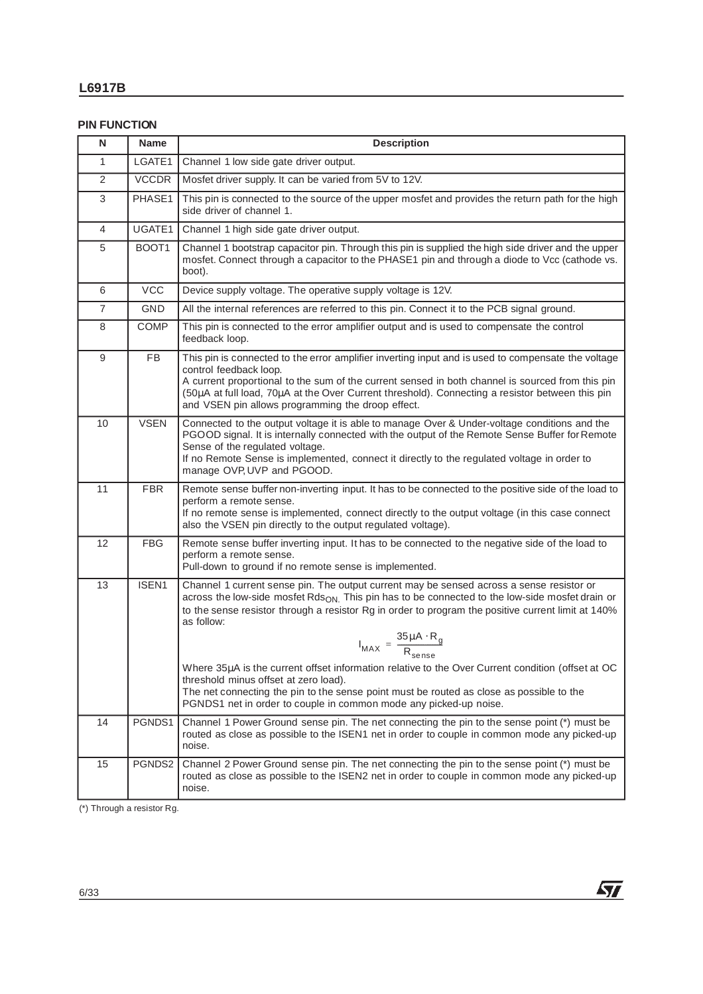## **PIN FUNCTION**

| N                | Name         | <b>Description</b>                                                                                                                                                                                                                                                                                                                                                                       |  |  |
|------------------|--------------|------------------------------------------------------------------------------------------------------------------------------------------------------------------------------------------------------------------------------------------------------------------------------------------------------------------------------------------------------------------------------------------|--|--|
| $\mathbf{1}$     | LGATE1       | Channel 1 low side gate driver output.                                                                                                                                                                                                                                                                                                                                                   |  |  |
| 2                | <b>VCCDR</b> | Mosfet driver supply. It can be varied from 5V to 12V.                                                                                                                                                                                                                                                                                                                                   |  |  |
| 3                | PHASE1       | This pin is connected to the source of the upper mosfet and provides the return path for the high<br>side driver of channel 1.                                                                                                                                                                                                                                                           |  |  |
| 4                | UGATE1       | Channel 1 high side gate driver output.                                                                                                                                                                                                                                                                                                                                                  |  |  |
| 5                | BOOT1        | Channel 1 bootstrap capacitor pin. Through this pin is supplied the high side driver and the upper<br>mosfet. Connect through a capacitor to the PHASE1 pin and through a diode to Vcc (cathode vs.<br>boot).                                                                                                                                                                            |  |  |
| 6                | <b>VCC</b>   | Device supply voltage. The operative supply voltage is 12V.                                                                                                                                                                                                                                                                                                                              |  |  |
| $\overline{7}$   | <b>GND</b>   | All the internal references are referred to this pin. Connect it to the PCB signal ground.                                                                                                                                                                                                                                                                                               |  |  |
| 8                | COMP         | This pin is connected to the error amplifier output and is used to compensate the control<br>feedback loop.                                                                                                                                                                                                                                                                              |  |  |
| $\boldsymbol{9}$ | <b>FB</b>    | This pin is connected to the error amplifier inverting input and is used to compensate the voltage<br>control feedback loop.<br>A current proportional to the sum of the current sensed in both channel is sourced from this pin<br>(50µA at full load, 70µA at the Over Current threshold). Connecting a resistor between this pin<br>and VSEN pin allows programming the droop effect. |  |  |
| 10               | <b>VSEN</b>  | Connected to the output voltage it is able to manage Over & Under-voltage conditions and the<br>PGOOD signal. It is internally connected with the output of the Remote Sense Buffer for Remote<br>Sense of the regulated voltage.<br>If no Remote Sense is implemented, connect it directly to the regulated voltage in order to<br>manage OVP, UVP and PGOOD.                           |  |  |
| 11               | <b>FBR</b>   | Remote sense buffer non-inverting input. It has to be connected to the positive side of the load to<br>perform a remote sense.<br>If no remote sense is implemented, connect directly to the output voltage (in this case connect<br>also the VSEN pin directly to the output regulated voltage).                                                                                        |  |  |
| 12               | <b>FBG</b>   | Remote sense buffer inverting input. It has to be connected to the negative side of the load to<br>perform a remote sense.<br>Pull-down to ground if no remote sense is implemented.                                                                                                                                                                                                     |  |  |
| 13               | ISEN1        | Channel 1 current sense pin. The output current may be sensed across a sense resistor or<br>across the low-side mosfet Rds <sub>ON</sub> . This pin has to be connected to the low-side mosfet drain or<br>to the sense resistor through a resistor Rg in order to program the positive current limit at 140%<br>as follow:<br>$I_{MAX} = \frac{35 \mu A \cdot R_g}{R_{sense}}$          |  |  |
|                  |              | Where 35µA is the current offset information relative to the Over Current condition (offset at OC<br>threshold minus offset at zero load).<br>The net connecting the pin to the sense point must be routed as close as possible to the<br>PGNDS1 net in order to couple in common mode any picked-up noise.                                                                              |  |  |
| 14               | PGNDS1       | Channel 1 Power Ground sense pin. The net connecting the pin to the sense point (*) must be<br>routed as close as possible to the ISEN1 net in order to couple in common mode any picked-up<br>noise.                                                                                                                                                                                    |  |  |
| 15               | PGNDS2       | Channel 2 Power Ground sense pin. The net connecting the pin to the sense point (*) must be<br>routed as close as possible to the ISEN2 net in order to couple in common mode any picked-up<br>noise.                                                                                                                                                                                    |  |  |

 $\sqrt{27}$ 

 $\sqrt{\binom{*}{n}}$  Through a resistor Rg.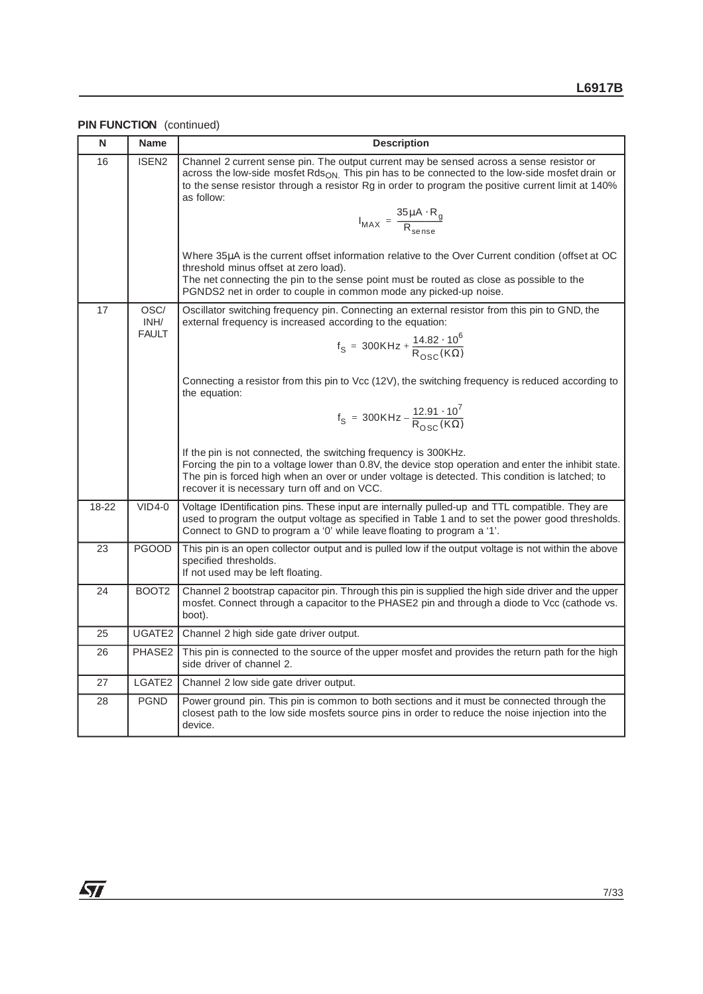**PIN FUNCTION** (continued)

| N     | <b>Name</b>                  | <b>Description</b>                                                                                                                                                                                                                                                                                                         |
|-------|------------------------------|----------------------------------------------------------------------------------------------------------------------------------------------------------------------------------------------------------------------------------------------------------------------------------------------------------------------------|
| 16    | ISEN <sub>2</sub>            | Channel 2 current sense pin. The output current may be sensed across a sense resistor or<br>across the low-side mosfet $Rds_{ON}$ . This pin has to be connected to the low-side mosfet drain or<br>to the sense resistor through a resistor Rg in order to program the positive current limit at 140%<br>as follow:       |
|       |                              | $I_{MAX} = \frac{35 \mu A \cdot R_g}{R_{sense}}$                                                                                                                                                                                                                                                                           |
|       |                              | Where 35μA is the current offset information relative to the Over Current condition (offset at OC<br>threshold minus offset at zero load).<br>The net connecting the pin to the sense point must be routed as close as possible to the<br>PGNDS2 net in order to couple in common mode any picked-up noise.                |
| 17    | OSC/<br>INH/<br><b>FAULT</b> | Oscillator switching frequency pin. Connecting an external resistor from this pin to GND, the<br>external frequency is increased according to the equation:                                                                                                                                                                |
|       |                              | $f_S = 300KHz + \frac{14.82 \cdot 10^6}{R_{OSC}(K\Omega)}$                                                                                                                                                                                                                                                                 |
|       |                              | Connecting a resistor from this pin to Vcc (12V), the switching frequency is reduced according to<br>the equation:                                                                                                                                                                                                         |
|       |                              | $f_S = 300K$ Hz $-\frac{12.91 \cdot 10^7}{R_{OSC}(K\Omega)}$                                                                                                                                                                                                                                                               |
|       |                              | If the pin is not connected, the switching frequency is 300KHz.<br>Forcing the pin to a voltage lower than 0.8V, the device stop operation and enter the inhibit state.<br>The pin is forced high when an over or under voltage is detected. This condition is latched; to<br>recover it is necessary turn off and on VCC. |
| 18-22 | $VID4-0$                     | Voltage IDentification pins. These input are internally pulled-up and TTL compatible. They are<br>used to program the output voltage as specified in Table 1 and to set the power good thresholds.<br>Connect to GND to program a '0' while leave floating to program a '1'.                                               |
| 23    | <b>PGOOD</b>                 | This pin is an open collector output and is pulled low if the output voltage is not within the above<br>specified thresholds.<br>If not used may be left floating.                                                                                                                                                         |
| 24    | BOOT <sub>2</sub>            | Channel 2 bootstrap capacitor pin. Through this pin is supplied the high side driver and the upper<br>mosfet. Connect through a capacitor to the PHASE2 pin and through a diode to Vcc (cathode vs.<br>boot).                                                                                                              |
| 25    | UGATE2                       | Channel 2 high side gate driver output.                                                                                                                                                                                                                                                                                    |
| 26    | PHASE2                       | This pin is connected to the source of the upper mosfet and provides the return path for the high<br>side driver of channel 2.                                                                                                                                                                                             |
| 27    | LGATE <sub>2</sub>           | Channel 2 low side gate driver output.                                                                                                                                                                                                                                                                                     |
| 28    | <b>PGND</b>                  | Power ground pin. This pin is common to both sections and it must be connected through the<br>closest path to the low side mosfets source pins in order to reduce the noise injection into the<br>device.                                                                                                                  |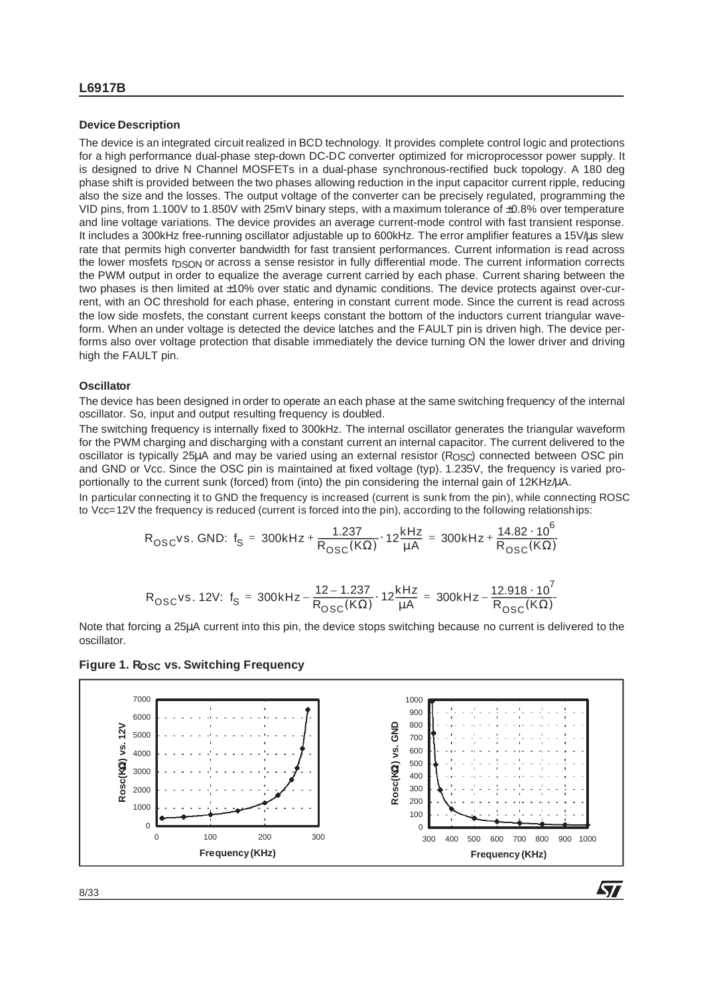## **L6917B**

#### **Device Description**

The device is an integrated circuit realized in BCD technology. It provides complete control logic and protections for a high performance dual-phase step-down DC-DC converter optimized for microprocessor power supply. It is designed to drive N Channel MOSFETs in a dual-phase synchronous-rectified buck topology. A 180 deg phase shift is provided between the two phases allowing reduction in the input capacitor current ripple, reducing also the size and the losses. The output voltage of the converter can be precisely regulated, programming the VID pins, from 1.100V to 1.850V with 25mV binary steps, with a maximum tolerance of  $\pm 0.8$ % over temperature and line voltage variations. The device provides an average current-mode control with fast transient response. It includes a 300kHz free-running oscillator adjustable up to 600kHz. The error amplifier features a 15V/µs slew rate that permits high converter bandwidth for fast transient performances. Current information is read across the lower mosfets r<sub>DSON</sub> or across a sense resistor in fully differential mode. The current information corrects the PWM output in order to equalize the average current carried by each phase. Current sharing between the two phases is then limited at ±10% over static and dynamic conditions. The device protects against over-current, with an OC threshold for each phase, entering in constant current mode. Since the current is read across the low side mosfets, the constant current keeps constant the bottom of the inductors current triangular waveform. When an under voltage is detected the device latches and the FAULT pin is driven high. The device performs also over voltage protection that disable immediately the device turning ON the lower driver and driving high the FAULT pin.

#### **Oscillator**

The device has been designed in order to operate an each phase at the same switching frequency of the internal oscillator. So, input and output resulting frequency is doubled.

The switching frequency is internally fixed to 300kHz. The internal oscillator generates the triangular waveform for the PWM charging and discharging with a constant current an internal capacitor. The current delivered to the oscillator is typically 25µA and may be varied using an external resistor (ROSC) connected between OSC pin and GND or Vcc. Since the OSC pin is maintained at fixed voltage (typ). 1.235V, the frequency is varied proportionally to the current sunk (forced) from (into) the pin considering the internal gain of 12KHz/µA.

In particular connecting it to GND the frequency is increased (current is sunk from the pin), while connecting ROSC to Vcc=12V the frequency is reduced (current is forced into the pin), according to the following relationships:

$$
R_{\textrm{OSC}} vs.\; \textrm{GND:}\;\; f_S\; =\; 300 \textrm{kHz} + \frac{1.237}{R_{\textrm{OSC}}(K\Omega)} \cdot 12 \frac{\textrm{kHz}}{\mu\text{A}}\; =\; 300 \textrm{kHz} + \frac{14.82 \cdot 10^6}{R_{\textrm{OSC}}(K\Omega)}
$$

$$
R_{\rm OSC} \text{vs. 12V: } f_S = 300 \text{kHz} - \frac{12 - 1.237}{R_{\rm OSC}(K\Omega)} \cdot 12 \frac{\text{kHz}}{\mu\text{A}} = 300 \text{kHz} - \frac{12.918 \cdot 10^7}{R_{\rm OSC}(K\Omega)}
$$

Note that forcing a 25µA current into this pin, the device stops switching because no current is delivered to the oscillator.



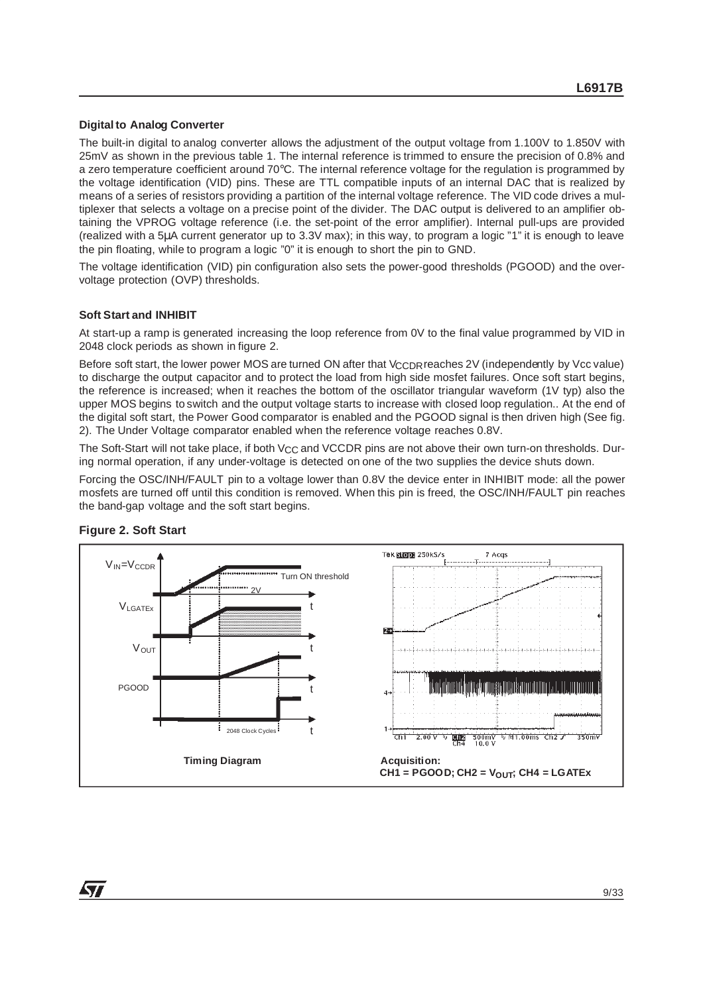#### **Digital to Analog Converter**

The built-in digital to analog converter allows the adjustment of the output voltage from 1.100V to 1.850V with 25mV as shown in the previous table 1. The internal reference is trimmed to ensure the precision of 0.8% and a zero temperature coefficient around 70°C. The internal reference voltage for the regulation is programmed by the voltage identification (VID) pins. These are TTL compatible inputs of an internal DAC that is realized by means of a series of resistors providing a partition of the internal voltage reference. The VID code drives a multiplexer that selects a voltage on a precise point of the divider. The DAC output is delivered to an amplifier obtaining the VPROG voltage reference (i.e. the set-point of the error amplifier). Internal pull-ups are provided (realized with a 5µA current generator up to 3.3V max); in this way, to program a logic "1" it is enough to leave the pin floating, while to program a logic "0" it is enough to short the pin to GND.

The voltage identification (VID) pin configuration also sets the power-good thresholds (PGOOD) and the overvoltage protection (OVP) thresholds.

#### **Soft Start and INHIBIT**

At start-up a ramp is generated increasing the loop reference from 0V to the final value programmed by VID in 2048 clock periods as shown in figure 2.

Before soft start, the lower power MOS are turned ON after that V<sub>CCDR</sub> reaches 2V (independently by Vcc value) to discharge the output capacitor and to protect the load from high side mosfet failures. Once soft start begins, the reference is increased; when it reaches the bottom of the oscillator triangular waveform (1V typ) also the upper MOS begins to switch and the output voltage starts to increase with closed loop regulation.. At the end of the digital soft start, the Power Good comparator is enabled and the PGOOD signal is then driven high (See fig. 2). The Under Voltage comparator enabled when the reference voltage reaches 0.8V.

The Soft-Start will not take place, if both V<sub>CC</sub> and VCCDR pins are not above their own turn-on thresholds. During normal operation, if any under-voltage is detected on one of the two supplies the device shuts down.

Forcing the OSC/INH/FAULT pin to a voltage lower than 0.8V the device enter in INHIBIT mode: all the power mosfets are turned off until this condition is removed. When this pin is freed, the OSC/INH/FAULT pin reaches the band-gap voltage and the soft start begins.



#### **Figure 2. Soft Start**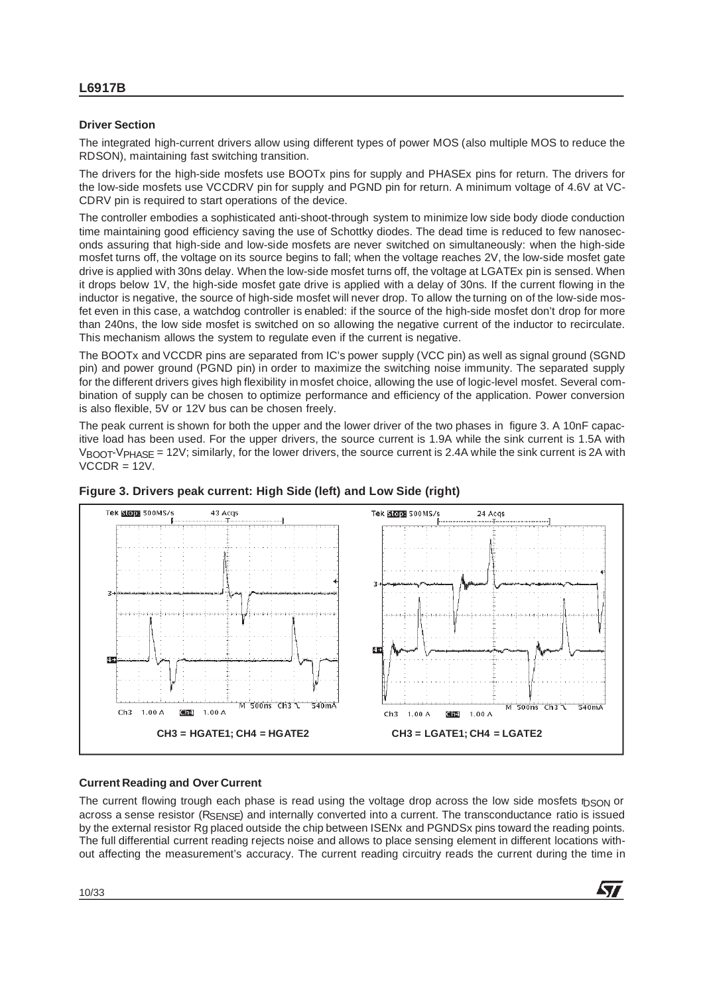#### **Driver Section**

The integrated high-current drivers allow using different types of power MOS (also multiple MOS to reduce the RDSON), maintaining fast switching transition.

The drivers for the high-side mosfets use BOOTx pins for supply and PHASEx pins for return. The drivers for the low-side mosfets use VCCDRV pin for supply and PGND pin for return. A minimum voltage of 4.6V at VC-CDRV pin is required to start operations of the device.

The controller embodies a sophisticated anti-shoot-through system to minimize low side body diode conduction time maintaining good efficiency saving the use of Schottky diodes. The dead time is reduced to few nanoseconds assuring that high-side and low-side mosfets are never switched on simultaneously: when the high-side mosfet turns off, the voltage on its source begins to fall; when the voltage reaches 2V, the low-side mosfet gate drive is applied with 30ns delay. When the low-side mosfet turns off, the voltage at LGATEx pin is sensed. When it drops below 1V, the high-side mosfet gate drive is applied with a delay of 30ns. If the current flowing in the inductor is negative, the source of high-side mosfet will never drop. To allow the turning on of the low-side mosfet even in this case, a watchdog controller is enabled: if the source of the high-side mosfet don't drop for more than 240ns, the low side mosfet is switched on so allowing the negative current of the inductor to recirculate. This mechanism allows the system to regulate even if the current is negative.

The BOOTx and VCCDR pins are separated from IC's power supply (VCC pin) as well as signal ground (SGND pin) and power ground (PGND pin) in order to maximize the switching noise immunity. The separated supply for the different drivers gives high flexibility in mosfet choice, allowing the use of logic-level mosfet. Several combination of supply can be chosen to optimize performance and efficiency of the application. Power conversion is also flexible, 5V or 12V bus can be chosen freely.

The peak current is shown for both the upper and the lower driver of the two phases in figure 3. A 10nF capacitive load has been used. For the upper drivers, the source current is 1.9A while the sink current is 1.5A with VBOOT-VPHASE = 12V; similarly, for the lower drivers, the source current is 2.4A while the sink current is 2A with  $VCCDR = 12V$ .





## **Current Reading and Over Current**

The current flowing trough each phase is read using the voltage drop across the low side mosfets  $\eta_{\text{SON}}$  or across a sense resistor (RSENSE) and internally converted into a current. The transconductance ratio is issued by the external resistor Rg placed outside the chip between ISENx and PGNDSx pins toward the reading points. The full differential current reading rejects noise and allows to place sensing element in different locations without affecting the measurement's accuracy. The current reading circuitry reads the current during the time in

$$
\sqrt{M}
$$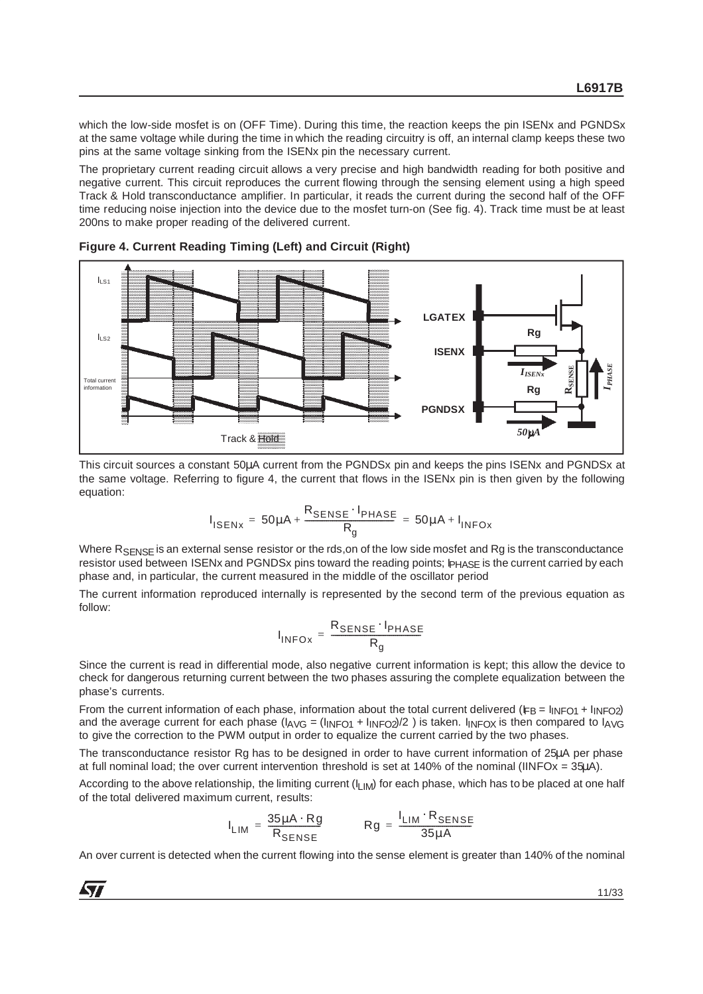which the low-side mosfet is on (OFF Time). During this time, the reaction keeps the pin ISENx and PGNDSx at the same voltage while during the time in which the reading circuitry is off, an internal clamp keeps these two pins at the same voltage sinking from the ISENx pin the necessary current.

The proprietary current reading circuit allows a very precise and high bandwidth reading for both positive and negative current. This circuit reproduces the current flowing through the sensing element using a high speed Track & Hold transconductance amplifier. In particular, it reads the current during the second half of the OFF time reducing noise injection into the device due to the mosfet turn-on (See fig. 4). Track time must be at least 200ns to make proper reading of the delivered current.



**Figure 4. Current Reading Timing (Left) and Circuit (Right)**

This circuit sources a constant 50µA current from the PGNDSx pin and keeps the pins ISENx and PGNDSx at the same voltage. Referring to figure 4, the current that flows in the ISENx pin is then given by the following equation:

$$
I_{\text{ISENx}} = 50\mu A + \frac{R_{\text{SENSE}} \cdot I_{\text{PHASE}}}{R_g} = 50\mu A + I_{\text{INFOx}}
$$

Where R<sub>SFNSF</sub> is an external sense resistor or the rds, on of the low side mosfet and Rg is the transconductance resistor used between ISENx and PGNDSx pins toward the reading points; IPHASE is the current carried by each phase and, in particular, the current measured in the middle of the oscillator period

The current information reproduced internally is represented by the second term of the previous equation as follow:

$$
I_{\text{INFOx}} = \frac{R_{\text{SENSE}} \cdot I_{\text{PHASE}}}{R_g}
$$

Since the current is read in differential mode, also negative current information is kept; this allow the device to check for dangerous returning current between the two phases assuring the complete equalization between the phase's currents.

From the current information of each phase, information about the total current delivered ( $F_B = I_{\text{INFO2}} + I_{\text{INFO2}}$ ) and the average current for each phase  $(I_{AVG} = (I_{INFO1} + I_{INFO2})/2)$  is taken.  $I_{INFOX}$  is then compared to  $I_{AVG}$ to give the correction to the PWM output in order to equalize the current carried by the two phases.

The transconductance resistor Rg has to be designed in order to have current information of 25µA per phase at full nominal load; the over current intervention threshold is set at 140% of the nominal (IINFOx = 35µA).

According to the above relationship, the limiting current  $(I_{L}||_W)$  for each phase, which has to be placed at one half of the total delivered maximum current, results:

$$
I_{LIM} = \frac{35 \mu A \cdot Rg}{R_{SENSE}} \qquad Rg = \frac{I_{LIM} \cdot R_{SENSE}}{35 \mu A}
$$

An over current is detected when the current flowing into the sense element is greater than 140% of the nominal

**AV**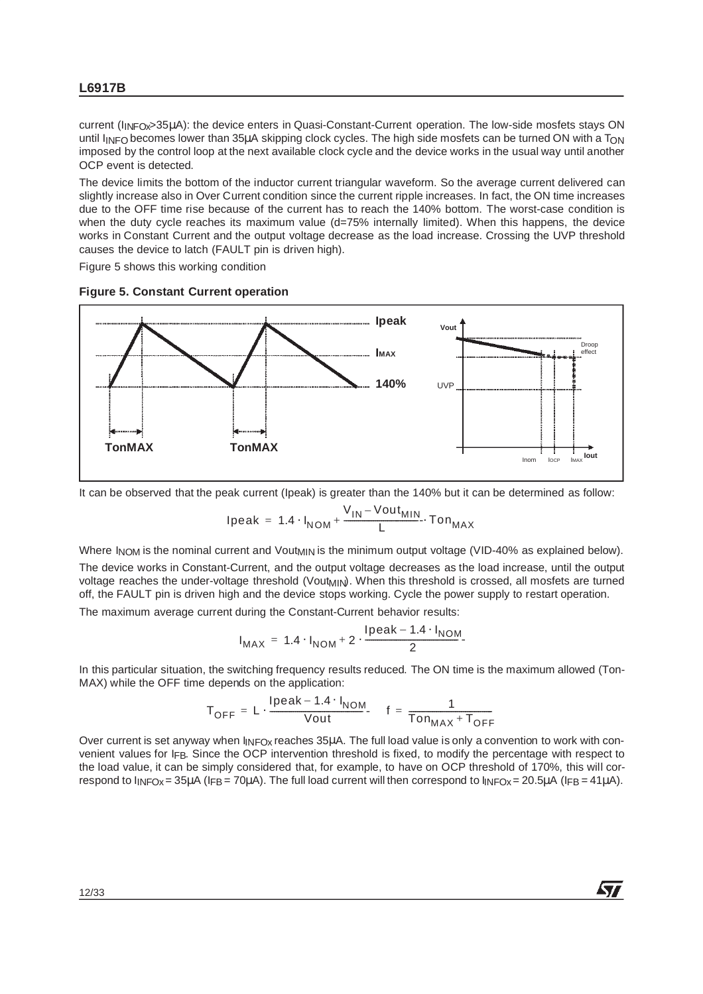current ( $I_{INFOx}$ 35µA): the device enters in Quasi-Constant-Current operation. The low-side mosfets stays ON until I<sub>INFO</sub> becomes lower than 35µA skipping clock cycles. The high side mosfets can be turned ON with a T<sub>ON</sub> imposed by the control loop at the next available clock cycle and the device works in the usual way until another OCP event is detected.

The device limits the bottom of the inductor current triangular waveform. So the average current delivered can slightly increase also in Over Current condition since the current ripple increases. In fact, the ON time increases due to the OFF time rise because of the current has to reach the 140% bottom. The worst-case condition is when the duty cycle reaches its maximum value (d=75% internally limited). When this happens, the device works in Constant Current and the output voltage decrease as the load increase. Crossing the UVP threshold causes the device to latch (FAULT pin is driven high).

Figure 5 shows this working condition





It can be observed that the peak current (Ipeak) is greater than the 140% but it can be determined as follow:

$$
Ipeak = 1.4 \cdot I_{NOM} + \frac{V_{IN} - Vout_{MIN}}{L} \cdot Ton_{MAX}
$$

Where INOM is the nominal current and VoutMIN is the minimum output voltage (VID-40% as explained below).

The device works in Constant-Current, and the output voltage decreases as the load increase, until the output voltage reaches the under-voltage threshold (Vout<sub>MIN</sub>). When this threshold is crossed, all mosfets are turned off, the FAULT pin is driven high and the device stops working. Cycle the power supply to restart operation.

The maximum average current during the Constant-Current behavior results:

$$
I_{MAX} = 1.4 \cdot I_{NOM} + 2 \cdot \frac{Ipeak - 1.4 \cdot I_{NOM}}{2}
$$

In this particular situation, the switching frequency results reduced. The ON time is the maximum allowed (Ton-MAX) while the OFF time depends on the application:

$$
T_{OFF} = L \cdot \frac{Ipeak - 1.4 \cdot I_{NOM}}{Vout} \qquad f = \frac{1}{Ton_{MAX} + T_{OFF}}
$$

Over current is set anyway when  $I_{INFOX}$  reaches 35µA. The full load value is only a convention to work with convenient values for IFB. Since the OCP intervention threshold is fixed, to modify the percentage with respect to the load value, it can be simply considered that, for example, to have on OCP threshold of 170%, this will correspond to  $I_{INFOX}$  = 35µA (IFB = 70µA). The full load current will then correspond to  $I_{INFOX}$  = 20.5µA (IFB = 41µA).

57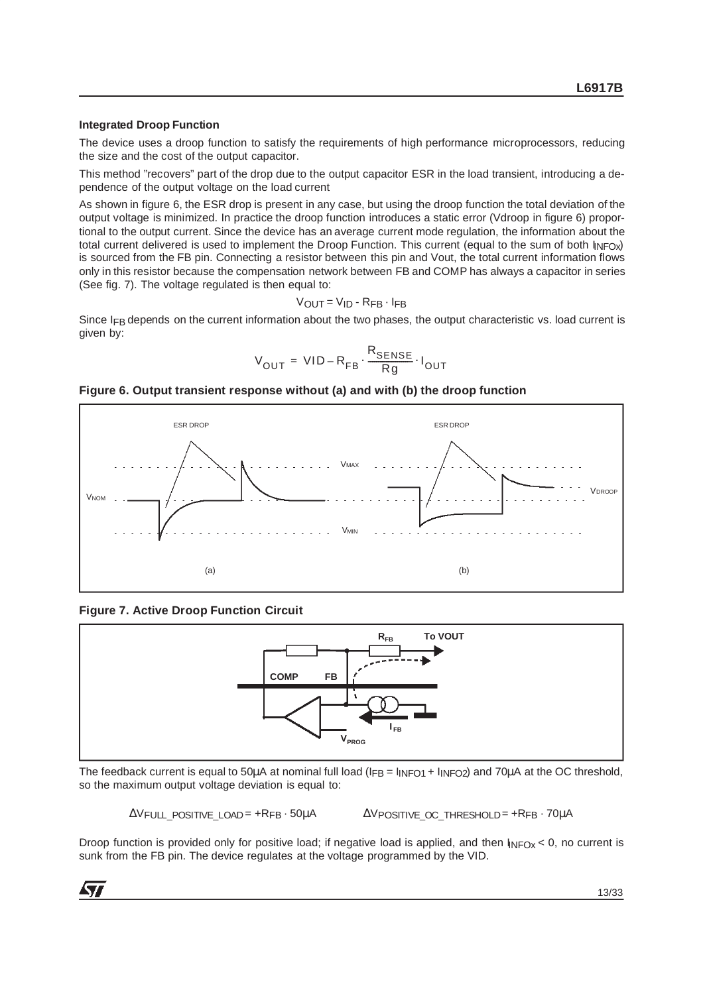#### **Integrated Droop Function**

The device uses a droop function to satisfy the requirements of high performance microprocessors, reducing the size and the cost of the output capacitor.

This method "recovers" part of the drop due to the output capacitor ESR in the load transient, introducing a dependence of the output voltage on the load current

As shown in figure 6, the ESR drop is present in any case, but using the droop function the total deviation of the output voltage is minimized. In practice the droop function introduces a static error (Vdroop in figure 6) proportional to the output current. Since the device has an average current mode regulation, the information about the total current delivered is used to implement the Droop Function. This current (equal to the sum of both  $I_{\text{NFOx}}$ ) is sourced from the FB pin. Connecting a resistor between this pin and Vout, the total current information flows only in this resistor because the compensation network between FB and COMP has always a capacitor in series (See fig. 7). The voltage regulated is then equal to:

$$
V_{OUT} = V_{ID} - R_{FB} \cdot I_{FB}
$$

Since IFB depends on the current information about the two phases, the output characteristic vs. load current is given by:

$$
V_{OUT} = VID - R_{FB} \cdot \frac{R_{SENSE}}{Rg} \cdot I_{OUT}
$$

**Figure 6. Output transient response without (a) and with (b) the droop function**







The feedback current is equal to 50µA at nominal full load (IFB =  $I_{\text{INFO1}} + I_{\text{INFO2}}$ ) and 70µA at the OC threshold, so the maximum output voltage deviation is equal to:

∆VFULL\_POSITIVE\_LOAD = +RFB · 50µA ∆VPOSITIVE\_OC\_THRESHOLD= +RFB · 70µA

Droop function is provided only for positive load; if negative load is applied, and then  $I_{\text{NFOx}}$  < 0, no current is sunk from the FB pin. The device regulates at the voltage programmed by the VID.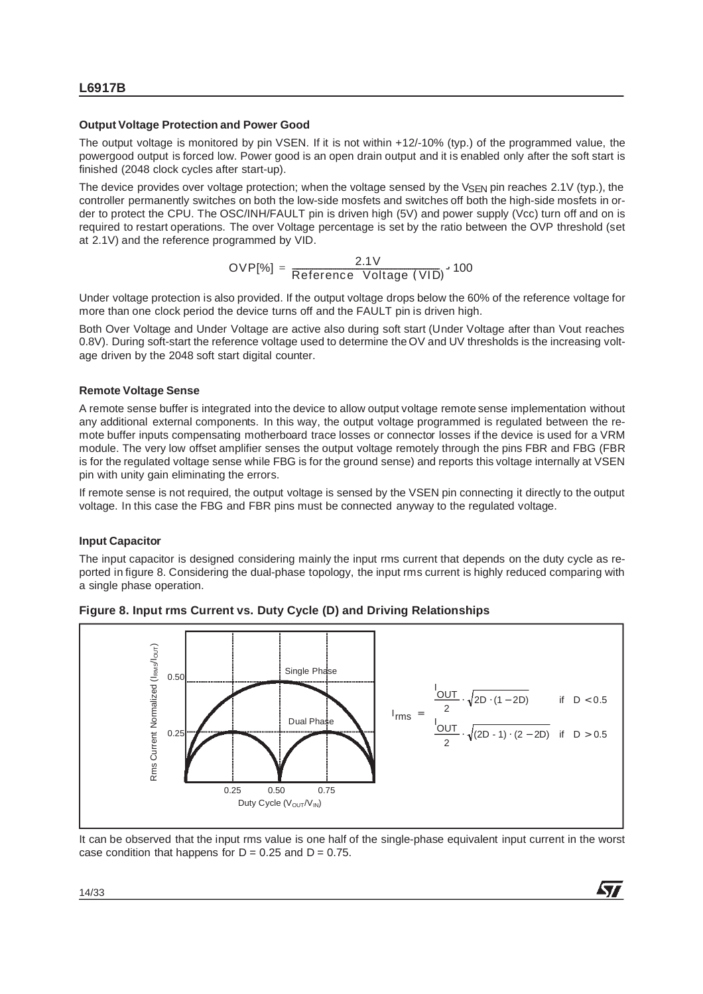#### **Output Voltage Protection and Power Good**

The output voltage is monitored by pin VSEN. If it is not within +12/-10% (typ.) of the programmed value, the powergood output is forced low. Power good is an open drain output and it is enabled only after the soft start is finished (2048 clock cycles after start-up).

The device provides over voltage protection; when the voltage sensed by the VSEN pin reaches 2.1V (typ.), the controller permanently switches on both the low-side mosfets and switches off both the high-side mosfets in order to protect the CPU. The OSC/INH/FAULT pin is driven high (5V) and power supply (Vcc) turn off and on is required to restart operations. The over Voltage percentage is set by the ratio between the OVP threshold (set at 2.1V) and the reference programmed by VID.

$$
OVP[\%] = \frac{2.1 \text{V}}{\text{Reference Voltage (VID)}} - 100
$$

Under voltage protection is also provided. If the output voltage drops below the 60% of the reference voltage for more than one clock period the device turns off and the FAULT pin is driven high.

Both Over Voltage and Under Voltage are active also during soft start (Under Voltage after than Vout reaches 0.8V). During soft-start the reference voltage used to determine the OV and UV thresholds is the increasing voltage driven by the 2048 soft start digital counter.

#### **Remote Voltage Sense**

A remote sense buffer is integrated into the device to allow output voltage remote sense implementation without any additional external components. In this way, the output voltage programmed is regulated between the remote buffer inputs compensating motherboard trace losses or connector losses if the device is used for a VRM module. The very low offset amplifier senses the output voltage remotely through the pins FBR and FBG (FBR is for the regulated voltage sense while FBG is for the ground sense) and reports this voltage internally at VSEN pin with unity gain eliminating the errors.

If remote sense is not required, the output voltage is sensed by the VSEN pin connecting it directly to the output voltage. In this case the FBG and FBR pins must be connected anyway to the regulated voltage.

#### **Input Capacitor**

The input capacitor is designed considering mainly the input rms current that depends on the duty cycle as reported in figure 8. Considering the dual-phase topology, the input rms current is highly reduced comparing with a single phase operation.



**Figure 8. Input rms Current vs. Duty Cycle (D) and Driving Relationships**

It can be observed that the input rms value is one half of the single-phase equivalent input current in the worst case condition that happens for  $D = 0.25$  and  $D = 0.75$ .

57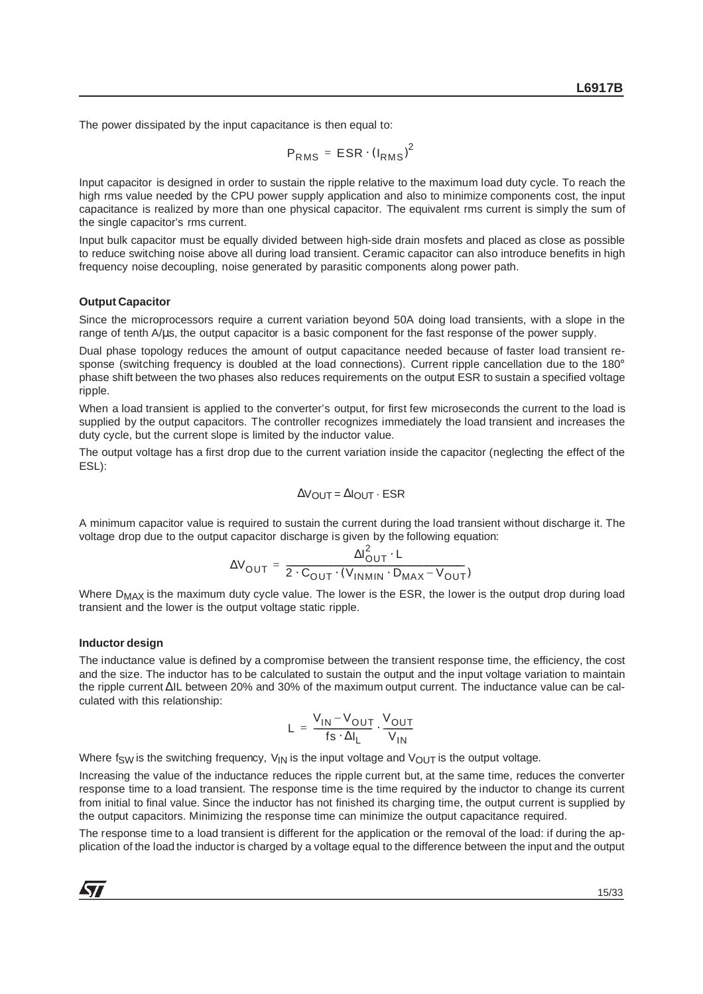The power dissipated by the input capacitance is then equal to:

$$
P_{RMS} = ESR \cdot (I_{RMS})^2
$$

Input capacitor is designed in order to sustain the ripple relative to the maximum load duty cycle. To reach the high rms value needed by the CPU power supply application and also to minimize components cost, the input capacitance is realized by more than one physical capacitor. The equivalent rms current is simply the sum of the single capacitor's rms current.

Input bulk capacitor must be equally divided between high-side drain mosfets and placed as close as possible to reduce switching noise above all during load transient. Ceramic capacitor can also introduce benefits in high frequency noise decoupling, noise generated by parasitic components along power path.

#### **Output Capacitor**

Since the microprocessors require a current variation beyond 50A doing load transients, with a slope in the range of tenth A/µs, the output capacitor is a basic component for the fast response of the power supply.

Dual phase topology reduces the amount of output capacitance needed because of faster load transient response (switching frequency is doubled at the load connections). Current ripple cancellation due to the 180° phase shift between the two phases also reduces requirements on the output ESR to sustain a specified voltage ripple.

When a load transient is applied to the converter's output, for first few microseconds the current to the load is supplied by the output capacitors. The controller recognizes immediately the load transient and increases the duty cycle, but the current slope is limited by the inductor value.

The output voltage has a first drop due to the current variation inside the capacitor (neglecting the effect of the ESL):

$$
\Delta V_{OUT} = \Delta I_{OUT} \cdot ESR
$$

A minimum capacitor value is required to sustain the current during the load transient without discharge it. The voltage drop due to the output capacitor discharge is given by the following equation:

$$
\Delta V_{OUT} = \frac{\Delta I_{OUT}^2 \cdot L}{2 \cdot C_{OUT} \cdot (V_{INMIN} \cdot D_{MAX} - V_{OUT})}
$$

Where D<sub>MAX</sub> is the maximum duty cycle value. The lower is the ESR, the lower is the output drop during load transient and the lower is the output voltage static ripple.

#### **Inductor design**

The inductance value is defined by a compromise between the transient response time, the efficiency, the cost and the size. The inductor has to be calculated to sustain the output and the input voltage variation to maintain the ripple current ∆IL between 20% and 30% of the maximum output current. The inductance value can be calculated with this relationship:

$$
L = \frac{V_{IN} - V_{OUT}}{fs \cdot \Delta I_L} \cdot \frac{V_{OUT}}{V_{IN}}
$$

Where f<sub>SW</sub> is the switching frequency,  $V_{\text{IN}}$  is the input voltage and  $V_{\text{OUT}}$  is the output voltage.

Increasing the value of the inductance reduces the ripple current but, at the same time, reduces the converter response time to a load transient. The response time is the time required by the inductor to change its current from initial to final value. Since the inductor has not finished its charging time, the output current is supplied by the output capacitors. Minimizing the response time can minimize the output capacitance required.

The response time to a load transient is different for the application or the removal of the load: if during the application of the load the inductor is charged by a voltage equal to the difference between the input and the output

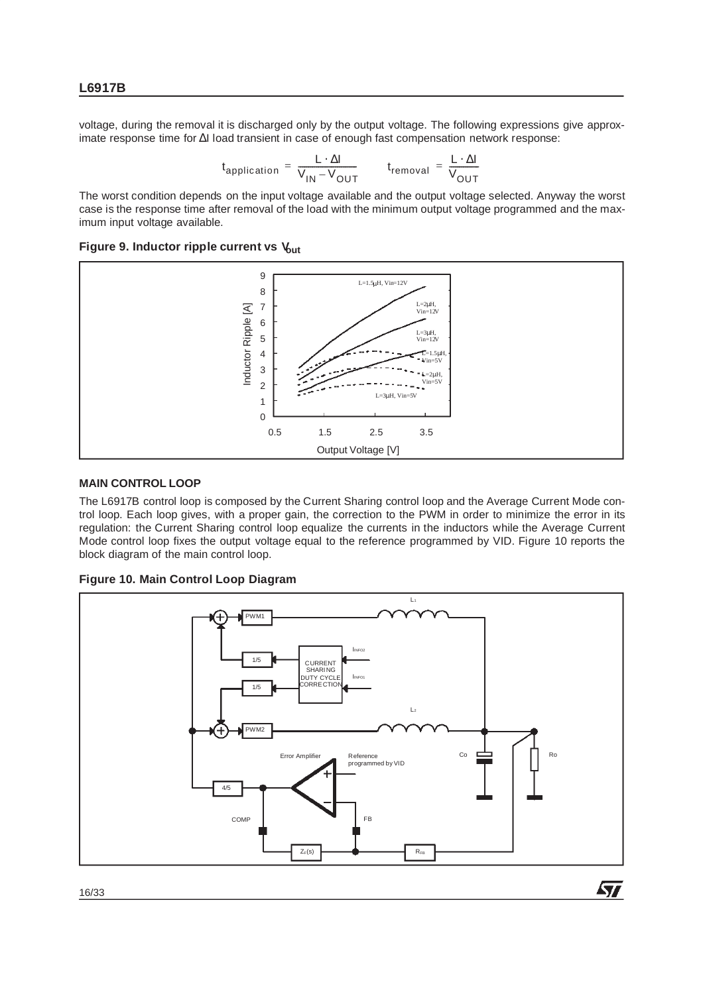voltage, during the removal it is discharged only by the output voltage. The following expressions give approximate response time for ∆I load transient in case of enough fast compensation network response:

$$
t_{application} = \frac{L \cdot \Delta I}{V_{IN} - V_{OUT}}
$$
  $t_{removal} = \frac{L \cdot \Delta I}{V_{OUT}}$ 

The worst condition depends on the input voltage available and the output voltage selected. Anyway the worst case is the response time after removal of the load with the minimum output voltage programmed and the maximum input voltage available.

#### Figure 9. Inductor ripple current vs V<sub>out</sub>



#### **MAIN CONTROL LOOP**

The L6917B control loop is composed by the Current Sharing control loop and the Average Current Mode control loop. Each loop gives, with a proper gain, the correction to the PWM in order to minimize the error in its regulation: the Current Sharing control loop equalize the currents in the inductors while the Average Current Mode control loop fixes the output voltage equal to the reference programmed by VID. Figure 10 reports the block diagram of the main control loop.

**Figure 10. Main Control Loop Diagram**

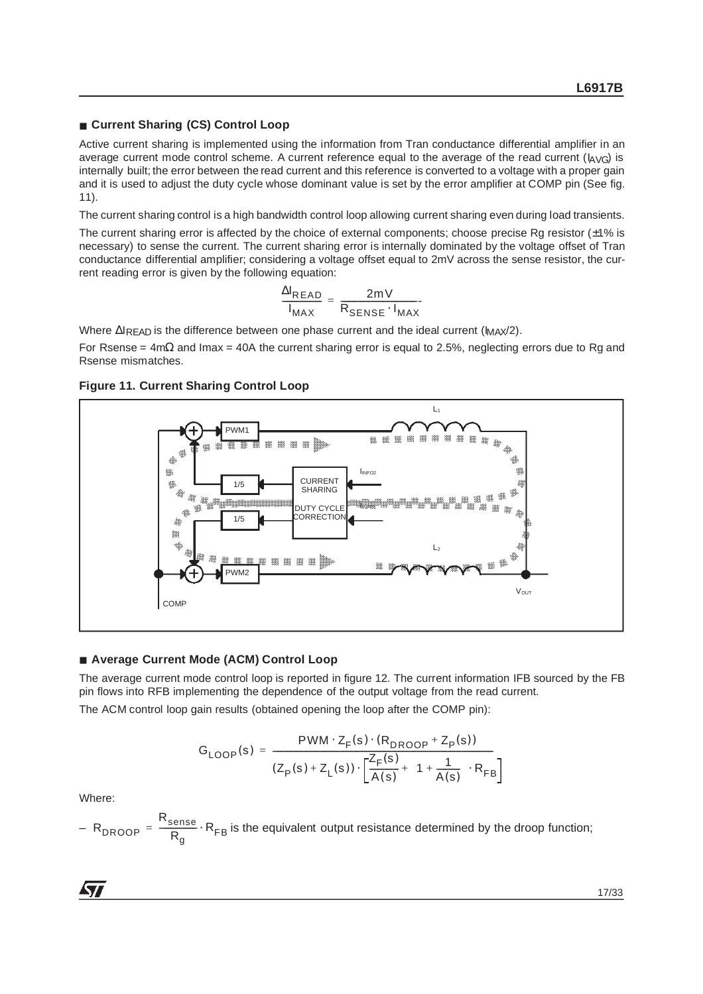## ■ Current Sharing (CS) Control Loop

Active current sharing is implemented using the information from Tran conductance differential amplifier in an average current mode control scheme. A current reference equal to the average of the read current ( $I_{AVG}$ ) is internally built; the error between the read current and this reference is converted to a voltage with a proper gain and it is used to adjust the duty cycle whose dominant value is set by the error amplifier at COMP pin (See fig. 11).

The current sharing control is a high bandwidth control loop allowing current sharing even during load transients.

The current sharing error is affected by the choice of external components; choose precise Rg resistor  $(\pm 1\%$  is necessary) to sense the current. The current sharing error is internally dominated by the voltage offset of Tran conductance differential amplifier; considering a voltage offset equal to 2mV across the sense resistor, the current reading error is given by the following equation:

$$
\frac{\Delta I_{READ}}{I_{MAX}} = \frac{2mV}{R_{SENSE} \cdot I_{MAX}}
$$

Where ∆IRFAD is the difference between one phase current and the ideal current (IMAX/2).

For Rsense =  $4m\Omega$  and Imax = 40A the current sharing error is equal to 2.5%, neglecting errors due to Rg and Rsense mismatches.



#### **Figure 11. Current Sharing Control Loop**

#### ■ **Average Current Mode (ACM) Control Loop**

The average current mode control loop is reported in figure 12. The current information IFB sourced by the FB pin flows into RFB implementing the dependence of the output voltage from the read current. The ACM control loop gain results (obtained opening the loop after the COMP pin):

$$
G_{\text{LOOP}}(s) = \frac{PWM \cdot Z_F(s) \cdot (R_{\text{DROOP}} + Z_P(s))}{(Z_P(s) + Z_L(s)) \cdot \left[\frac{Z_F(s)}{A(s)} + \left(1 + \frac{1}{A(s)}\right) \cdot R_{\text{FB}}\right]}
$$

Where:

 $-$  R<sub>DROOP</sub> =  $\frac{36136}{R}$ . R<sub>FB</sub> is the equivalent output resistance determined by the droop function; R<sub>sense</sub>  $=$   $\frac{\text{sense}}{R_g} \cdot R_{FB}$ 

**Ayr**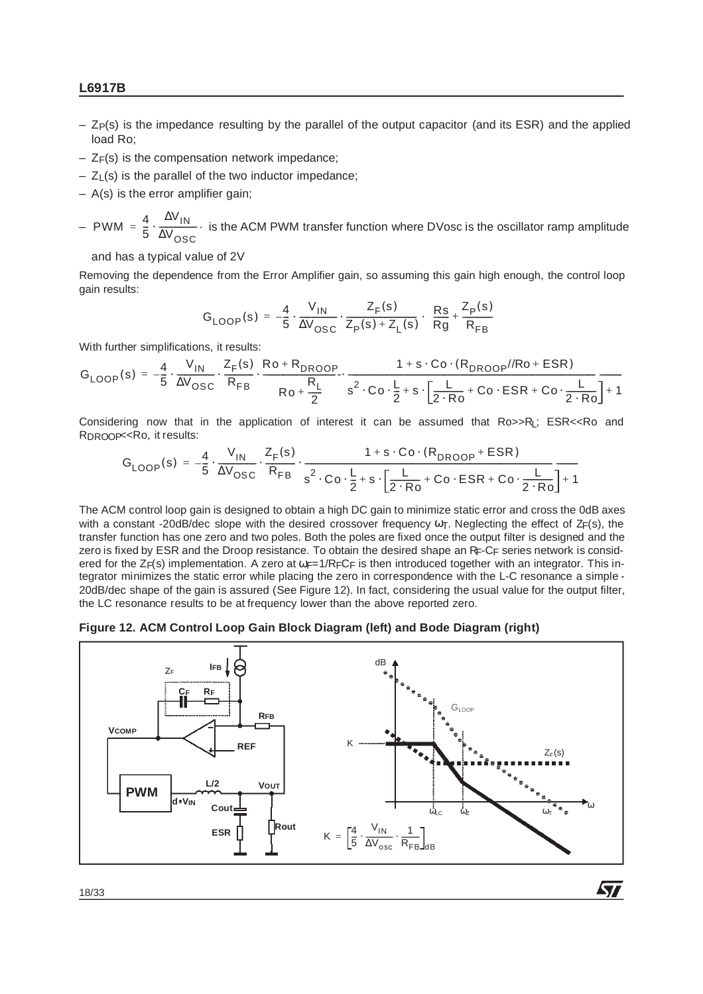- $-$  Z<sub>P</sub>(s) is the impedance resulting by the parallel of the output capacitor (and its ESR) and the applied load Ro;
- $-$  Z<sub>F</sub>(s) is the compensation network impedance;
- $-$  Z<sub>L</sub>(s) is the parallel of the two inductor impedance;
- A(s) is the error amplifier gain;

- 
$$
PWM = \frac{4}{5} \cdot \frac{\Delta V_{IN}}{\Delta V_{OSC}}
$$
 is the ACM PWM transfer function where DVosc is the oscillator ramp amplitude

and has a typical value of 2V

Removing the dependence from the Error Amplifier gain, so assuming this gain high enough, the control loop gain results:

$$
G_{\text{LOOP}}(s) = -\frac{4}{5} \cdot \frac{V_{\text{IN}}}{\Delta V_{\text{OSC}}} \cdot \frac{Z_F(s)}{Z_P(s) + Z_L(s)} \cdot \left(\frac{Rs}{Rg} + \frac{Z_P(s)}{R_{FB}}\right)
$$

With further simplifications, it results:

$$
G_{\text{LOOP}}(s) = -\frac{4}{5} \cdot \frac{V_{\text{IN}}}{\Delta V_{\text{OSC}}} \cdot \frac{Z_F(s)}{R_{FB}} \cdot \frac{Ro + R_{\text{DROOP}}}{Ro + \frac{R_L}{2}} \cdot \frac{1 + s \cdot Co \cdot (R_{\text{DROOP}} / / Ro + ESR)}{s^2 \cdot Co \cdot \frac{L}{2} + s \cdot \left[\frac{L}{2 \cdot Ro} + Co \cdot ESR + Co \cdot \frac{L}{2 \cdot Ro}\right] + 1}
$$

Considering now that in the application of interest it can be assumed that  $Ro > R$ ; ESR<<Ro and RDROOP<<br/>Ro, it results:

$$
G_{\text{LOOP}}(s) = -\frac{4}{5} \cdot \frac{V_{\text{IN}}}{\Delta V_{\text{OSC}}} \cdot \frac{Z_F(s)}{R_{FB}} \cdot \frac{1 + s \cdot Co \cdot (R_{\text{DROOP}} + ESR)}{s^2 \cdot Co \cdot \frac{L}{2} + s \cdot \left[\frac{L}{2 \cdot Ro} + Co \cdot ESR + Co \cdot \frac{L}{2 \cdot Ro}\right] + 1}
$$

The ACM control loop gain is designed to obtain a high DC gain to minimize static error and cross the 0dB axes with a constant -20dB/dec slope with the desired crossover frequency  $\omega_{T}$ . Neglecting the effect of  $Z_{F}(s)$ , the transfer function has one zero and two poles. Both the poles are fixed once the output filter is designed and the zero is fixed by ESR and the Droop resistance. To obtain the desired shape an R<sub>F</sub>-C<sub>F</sub> series network is considered for the  $Z_F(s)$  implementation. A zero at  $\omega_F=1/RFC_F$  is then introduced together with an integrator. This integrator minimizes the static error while placing the zero in correspondence with the L-C resonance a simple - 20dB/dec shape of the gain is assured (See Figure 12). In fact, considering the usual value for the output filter, the LC resonance results to be at frequency lower than the above reported zero.

#### **Figure 12. ACM Control Loop Gain Block Diagram (left) and Bode Diagram (right)**



57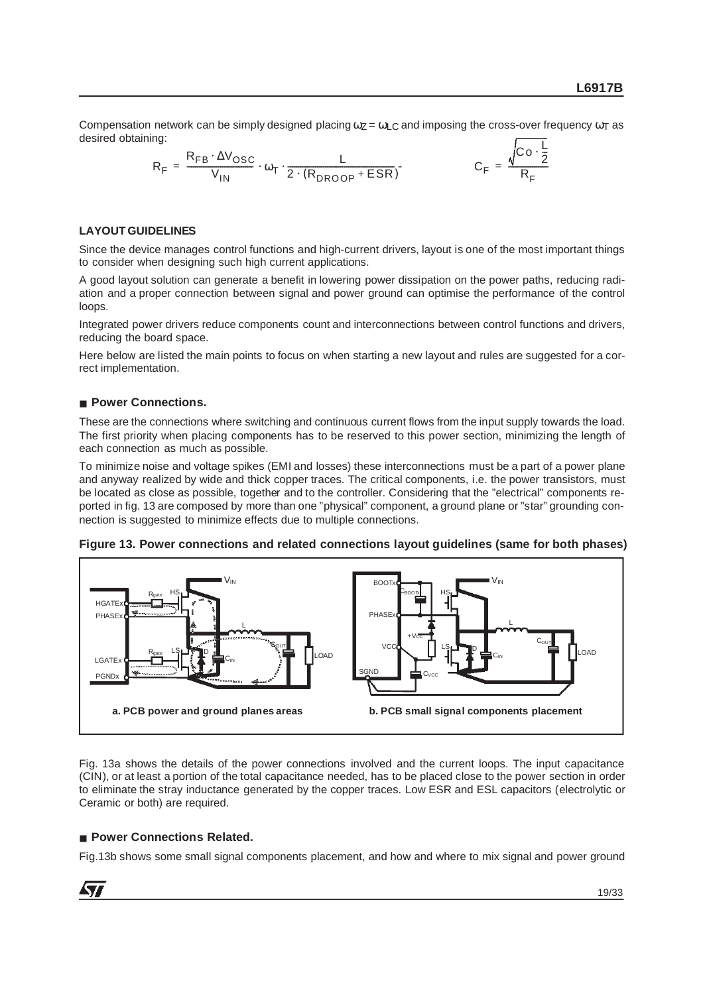Compensation network can be simply designed placing  $\omega z = \omega_1 c$  and imposing the cross-over frequency  $\omega_T$  as desired obtaining:  $\overline{\top}$ 

$$
R_F = \frac{R_{FB} \cdot \Delta V_{OSC}}{V_{IN}} \cdot \omega_T \cdot \frac{L}{2 \cdot (R_{DROOP} + ESR)} \qquad \qquad C_F = \frac{\sqrt{C_0 \cdot \frac{L}{2}}}{R_F}
$$

#### **LAYOUT GUIDELINES**

Since the device manages control functions and high-current drivers, layout is one of the most important things to consider when designing such high current applications.

A good layout solution can generate a benefit in lowering power dissipation on the power paths, reducing radiation and a proper connection between signal and power ground can optimise the performance of the control loops.

Integrated power drivers reduce components count and interconnections between control functions and drivers, reducing the board space.

Here below are listed the main points to focus on when starting a new layout and rules are suggested for a correct implementation.

#### ■ **Power Connections**

These are the connections where switching and continuous current flows from the input supply towards the load. The first priority when placing components has to be reserved to this power section, minimizing the length of each connection as much as possible.

To minimize noise and voltage spikes (EMI and losses) these interconnections must be a part of a power plane and anyway realized by wide and thick copper traces. The critical components, i.e. the power transistors, must be located as close as possible, together and to the controller. Considering that the "electrical" components reported in fig. 13 are composed by more than one "physical" component, a ground plane or "star" grounding connection is suggested to minimize effects due to multiple connections.



**Figure 13. Power connections and related connections layout guidelines (same for both phases)**

Fig. 13a shows the details of the power connections involved and the current loops. The input capacitance (CIN), or at least a portion of the total capacitance needed, has to be placed close to the power section in order to eliminate the stray inductance generated by the copper traces. Low ESR and ESL capacitors (electrolytic or Ceramic or both) are required.

## ■ **Power Connections Related.**

**Avril** 

Fig.13b shows some small signal components placement, and how and where to mix signal and power ground

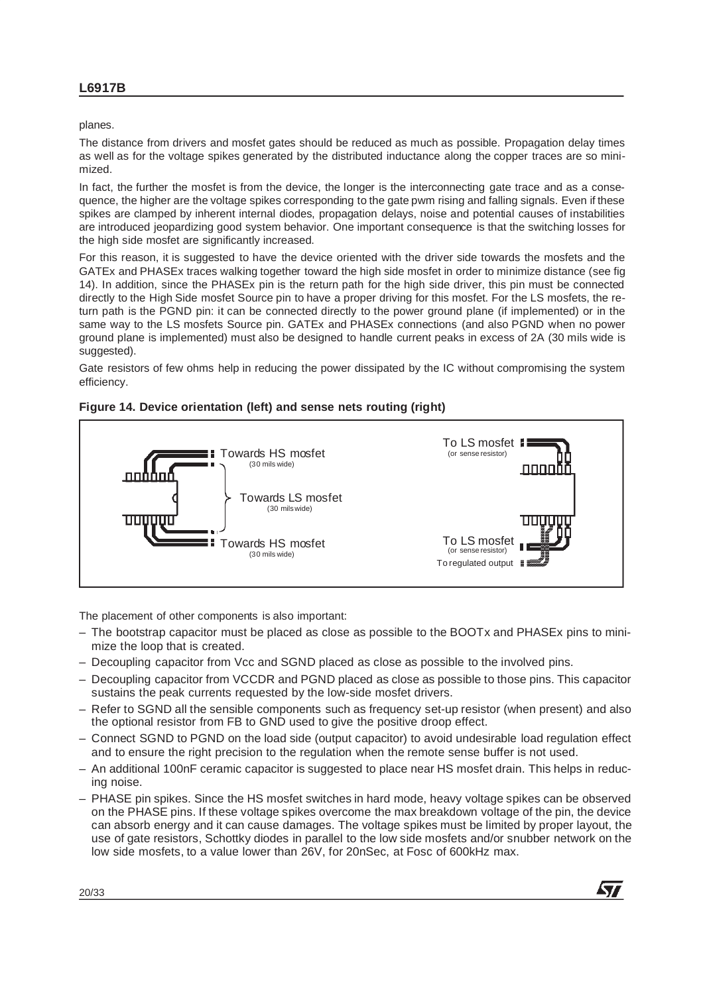planes.

The distance from drivers and mosfet gates should be reduced as much as possible. Propagation delay times as well as for the voltage spikes generated by the distributed inductance along the copper traces are so minimized.

In fact, the further the mosfet is from the device, the longer is the interconnecting gate trace and as a consequence, the higher are the voltage spikes corresponding to the gate pwm rising and falling signals. Even if these spikes are clamped by inherent internal diodes, propagation delays, noise and potential causes of instabilities are introduced jeopardizing good system behavior. One important consequence is that the switching losses for the high side mosfet are significantly increased.

For this reason, it is suggested to have the device oriented with the driver side towards the mosfets and the GATEx and PHASEx traces walking together toward the high side mosfet in order to minimize distance (see fig 14). In addition, since the PHASEx pin is the return path for the high side driver, this pin must be connected directly to the High Side mosfet Source pin to have a proper driving for this mosfet. For the LS mosfets, the return path is the PGND pin: it can be connected directly to the power ground plane (if implemented) or in the same way to the LS mosfets Source pin. GATEx and PHASEx connections (and also PGND when no power ground plane is implemented) must also be designed to handle current peaks in excess of 2A (30 mils wide is suggested).

Gate resistors of few ohms help in reducing the power dissipated by the IC without compromising the system efficiency.



#### **Figure 14. Device orientation (left) and sense nets routing (right)**

The placement of other components is also important:

- The bootstrap capacitor must be placed as close as possible to the BOOTx and PHASEx pins to minimize the loop that is created.
- Decoupling capacitor from Vcc and SGND placed as close as possible to the involved pins.
- Decoupling capacitor from VCCDR and PGND placed as close as possible to those pins. This capacitor sustains the peak currents requested by the low-side mosfet drivers.
- Refer to SGND all the sensible components such as frequency set-up resistor (when present) and also the optional resistor from FB to GND used to give the positive droop effect.
- Connect SGND to PGND on the load side (output capacitor) to avoid undesirable load regulation effect and to ensure the right precision to the regulation when the remote sense buffer is not used.
- An additional 100nF ceramic capacitor is suggested to place near HS mosfet drain. This helps in reducing noise.
- PHASE pin spikes. Since the HS mosfet switches in hard mode, heavy voltage spikes can be observed on the PHASE pins. If these voltage spikes overcome the max breakdown voltage of the pin, the device can absorb energy and it can cause damages. The voltage spikes must be limited by proper layout, the use of gate resistors, Schottky diodes in parallel to the low side mosfets and/or snubber network on the low side mosfets, to a value lower than 26V, for 20nSec, at Fosc of 600kHz max.

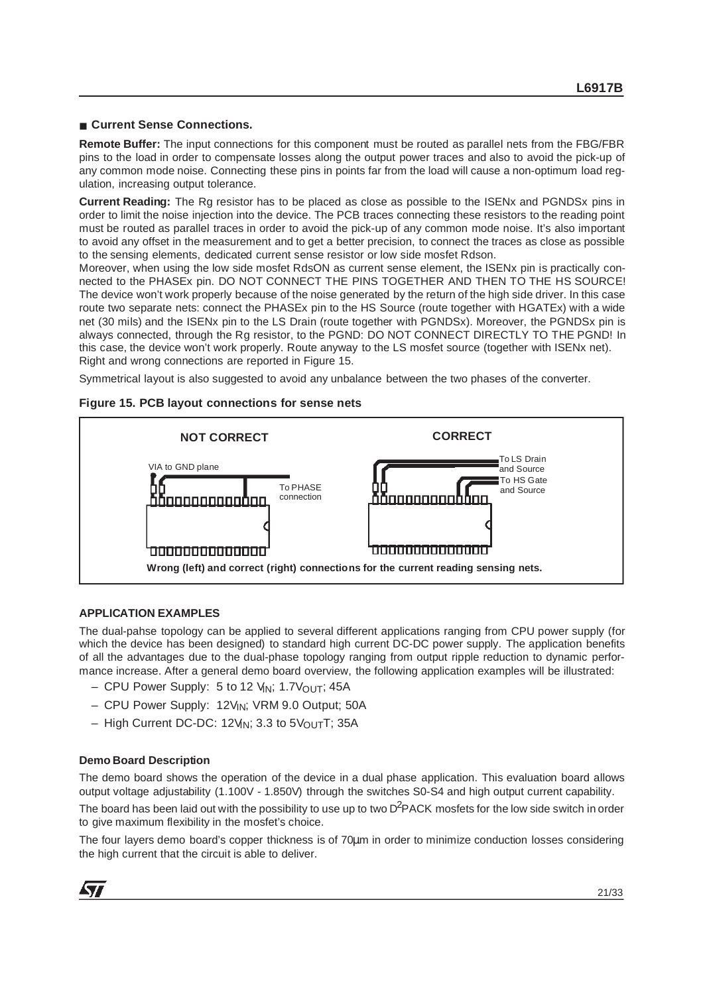## ■ Current Sense Connections.

**Remote Buffer:** The input connections for this component must be routed as parallel nets from the FBG/FBR pins to the load in order to compensate losses along the output power traces and also to avoid the pick-up of any common mode noise. Connecting these pins in points far from the load will cause a non-optimum load regulation, increasing output tolerance.

**Current Reading:** The Rg resistor has to be placed as close as possible to the ISENx and PGNDSx pins in order to limit the noise injection into the device. The PCB traces connecting these resistors to the reading point must be routed as parallel traces in order to avoid the pick-up of any common mode noise. It's also important to avoid any offset in the measurement and to get a better precision, to connect the traces as close as possible to the sensing elements, dedicated current sense resistor or low side mosfet Rdson.

Moreover, when using the low side mosfet RdsON as current sense element, the ISENx pin is practically connected to the PHASEx pin. DO NOT CONNECT THE PINS TOGETHER AND THEN TO THE HS SOURCE! The device won't work properly because of the noise generated by the return of the high side driver. In this case route two separate nets: connect the PHASEx pin to the HS Source (route together with HGATEx) with a wide net (30 mils) and the ISENx pin to the LS Drain (route together with PGNDSx). Moreover, the PGNDSx pin is always connected, through the Rg resistor, to the PGND: DO NOT CONNECT DIRECTLY TO THE PGND! In this case, the device won't work properly. Route anyway to the LS mosfet source (together with ISENx net). Right and wrong connections are reported in Figure 15.

Symmetrical layout is also suggested to avoid any unbalance between the two phases of the converter.



#### **Figure 15. PCB layout connections for sense nets**

#### **APPLICATION EXAMPLES**

The dual-pahse topology can be applied to several different applications ranging from CPU power supply (for which the device has been designed) to standard high current DC-DC power supply. The application benefits of all the advantages due to the dual-phase topology ranging from output ripple reduction to dynamic performance increase. After a general demo board overview, the following application examples will be illustrated:

- CPU Power Supply: 5 to 12 V<sub>IN</sub>; 1.7V<sub>OUT</sub>; 45A
- CPU Power Supply: 12VIN; VRM 9.0 Output; 50A
- $-$  High Current DC-DC: 12 $V_{N}$ ; 3.3 to 5 $V_{\text{OUT}}$ T; 35A

#### **Demo Board Description**

**Avril** 

The demo board shows the operation of the device in a dual phase application. This evaluation board allows output voltage adjustability (1.100V - 1.850V) through the switches S0-S4 and high output current capability. The board has been laid out with the possibility to use up to two  $D^2PACK$  mosfets for the low side switch in order to give maximum flexibility in the mosfet's choice.

The four layers demo board's copper thickness is of 70um in order to minimize conduction losses considering the high current that the circuit is able to deliver.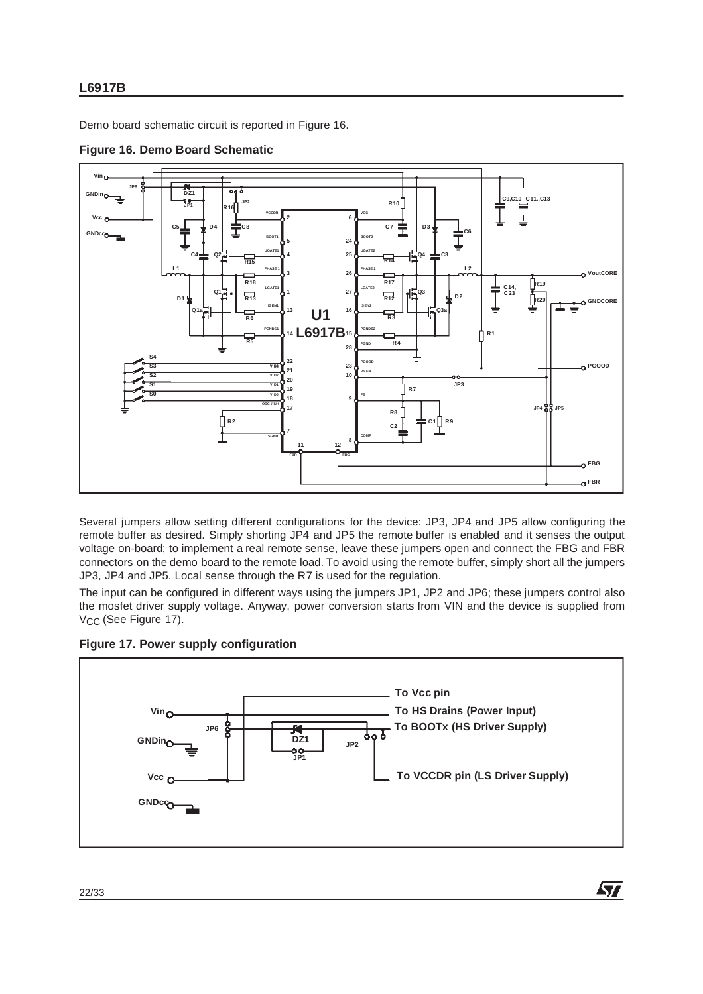Demo board schematic circuit is reported in Figure 16.



**Figure 16. Demo Board Schematic**

Several jumpers allow setting different configurations for the device: JP3, JP4 and JP5 allow configuring the remote buffer as desired. Simply shorting JP4 and JP5 the remote buffer is enabled and it senses the output voltage on-board; to implement a real remote sense, leave these jumpers open and connect the FBG and FBR connectors on the demo board to the remote load. To avoid using the remote buffer, simply short all the jumpers JP3, JP4 and JP5. Local sense through the R7 is used for the regulation.

The input can be configured in different ways using the jumpers JP1, JP2 and JP6; these jumpers control also the mosfet driver supply voltage. Anyway, power conversion starts from VIN and the device is supplied from V<sub>CC</sub> (See Figure 17).





57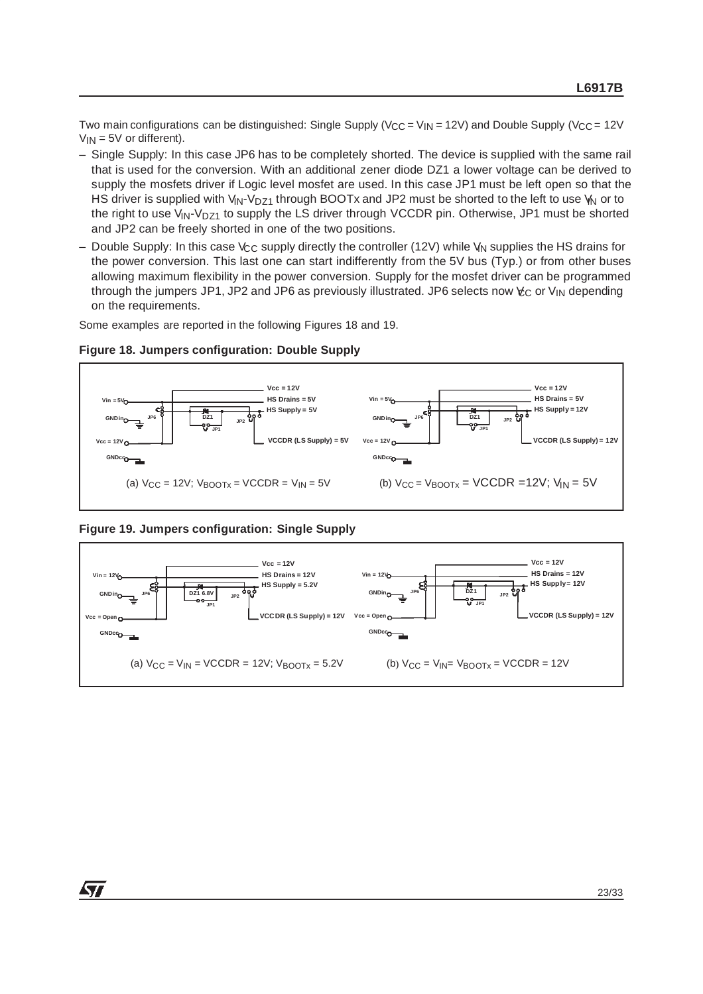Two main configurations can be distinguished: Single Supply (V<sub>CC</sub> = V<sub>IN</sub> = 12V) and Double Supply (V<sub>CC</sub> = 12V)  $V_{IN} = 5V$  or different).

- Single Supply: In this case JP6 has to be completely shorted. The device is supplied with the same rail that is used for the conversion. With an additional zener diode DZ1 a lower voltage can be derived to supply the mosfets driver if Logic level mosfet are used. In this case JP1 must be left open so that the HS driver is supplied with  $V_{1N}-V_{DZ1}$  through BOOTx and JP2 must be shorted to the left to use  $V_{N}$  or to the right to use V<sub>IN</sub>-V<sub>DZ1</sub> to supply the LS driver through VCCDR pin. Otherwise, JP1 must be shorted and JP2 can be freely shorted in one of the two positions.
- Double Supply: In this case V<sub>CC</sub> supply directly the controller (12V) while V<sub>N</sub> supplies the HS drains for the power conversion. This last one can start indifferently from the 5V bus (Typ.) or from other buses allowing maximum flexibility in the power conversion. Supply for the mosfet driver can be programmed through the jumpers JP1, JP2 and JP6 as previously illustrated. JP6 selects now  $\chi_C$  or V<sub>IN</sub> depending on the requirements.

Some examples are reported in the following Figures 18 and 19.



**Figure 18. Jumpers configuration: Double Supply**

**Figure 19. Jumpers configuration: Single Supply**

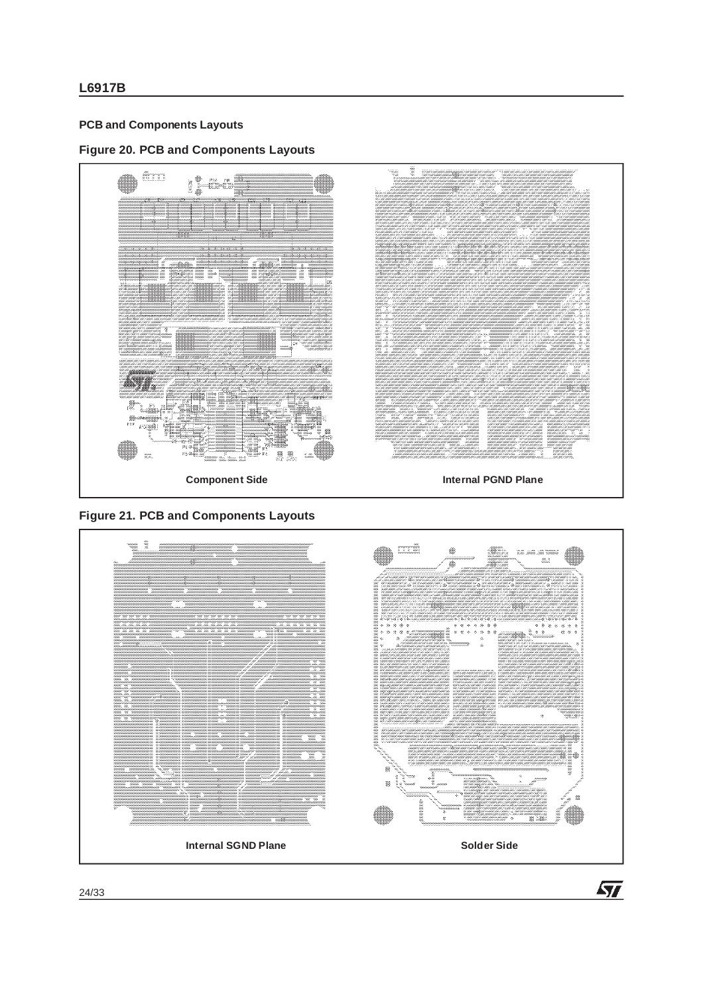## **PCB and Components Layouts**

**Figure 20. PCB and Components Layouts**



**Figure 21. PCB and Components Layouts**

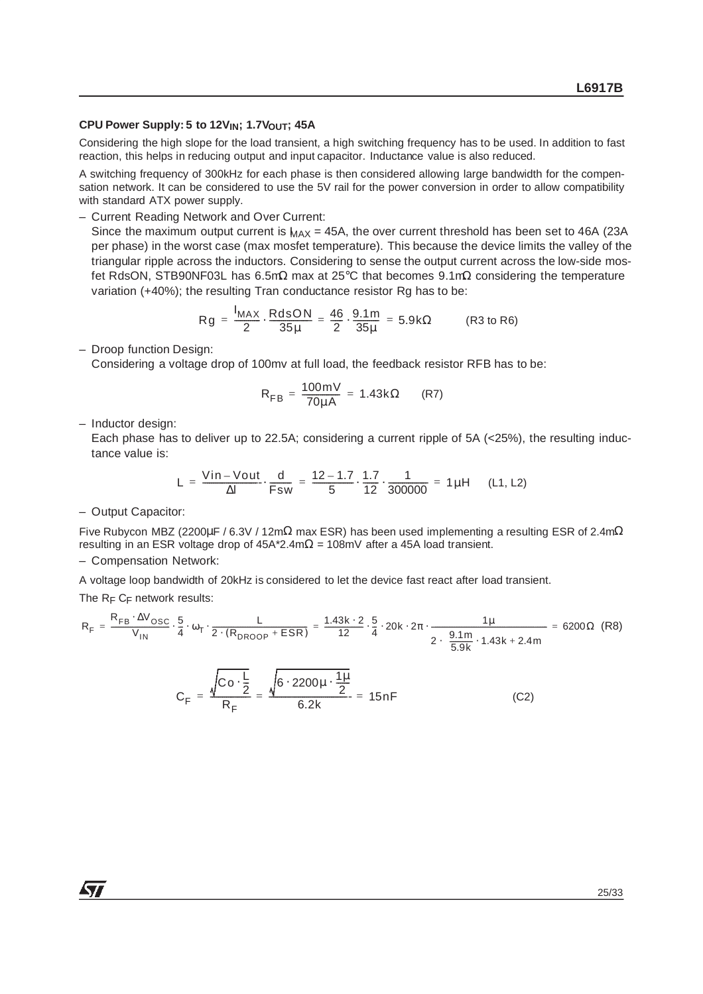#### CPU Power Supply: 5 to 12V<sub>IN</sub>; 1.7V<sub>OUT</sub>; 45A

Considering the high slope for the load transient, a high switching frequency has to be used. In addition to fast reaction, this helps in reducing output and input capacitor. Inductance value is also reduced.

A switching frequency of 300kHz for each phase is then considered allowing large bandwidth for the compensation network. It can be considered to use the 5V rail for the power conversion in order to allow compatibility with standard ATX power supply.

– Current Reading Network and Over Current:

Since the maximum output current is  $_{MAX}$  = 45A, the over current threshold has been set to 46A (23A) per phase) in the worst case (max mosfet temperature). This because the device limits the valley of the triangular ripple across the inductors. Considering to sense the output current across the low-side mosfet RdsON, STB90NF03L has 6.5mΩ max at 25°C that becomes 9.1mΩ considering the temperature variation (+40%); the resulting Tran conductance resistor Rg has to be:

$$
Rg = \frac{I_{MAX}}{2} \cdot \frac{RdSON}{35\mu} = \frac{46}{2} \cdot \frac{9.1m}{35\mu} = 5.9k\Omega
$$
 (R3 to R6)

– Droop function Design:

Considering a voltage drop of 100mv at full load, the feedback resistor RFB has to be:

$$
R_{FB} = \frac{100 \text{ mV}}{70 \mu \text{A}} = 1.43 \text{k}\Omega \qquad (R7)
$$

– Inductor design:

Each phase has to deliver up to 22.5A; considering a current ripple of 5A (<25%), the resulting inductance value is:

$$
L = \frac{Vin-Vout}{\Delta l} \cdot \frac{d}{Fsw} = \frac{12 - 1.7}{5} \cdot \frac{1.7}{12} \cdot \frac{1}{300000} = 1 \mu H \quad (L1, L2)
$$

– Output Capacitor:

Five Rubycon MBZ (2200µF / 6.3V / 12m $\Omega$  max ESR) has been used implementing a resulting ESR of 2.4m $\Omega$ resulting in an ESR voltage drop of  $45A^*2.4m\Omega = 108mV$  after a 45A load transient.

– Compensation Network:

A voltage loop bandwidth of 20kHz is considered to let the device fast react after load transient.

The RF CF network results:

$$
R_F = \frac{R_{FB} \cdot \Delta V_{OSC}}{V_{IN}} \cdot \frac{5}{4} \cdot \omega_T \cdot \frac{L}{2 \cdot (R_{DROOP} + ESR)} = \frac{1.43k \cdot 2}{12} \cdot \frac{5}{4} \cdot 20k \cdot 2\pi \cdot \frac{1 \mu}{2 \cdot \left(\frac{9.1 m}{5.9 k} \cdot 1.43k + 2.4 m\right)} = 6200 \cdot \Omega \tag{R8}
$$

$$
C_F = \frac{\sqrt{C_0 \cdot \frac{L}{2}}}{R_F} = \frac{\sqrt{6 \cdot 2200 \mu \cdot \frac{1 \mu}{2}}}{6.2 k} = 15nF
$$
 (C2)

**ST**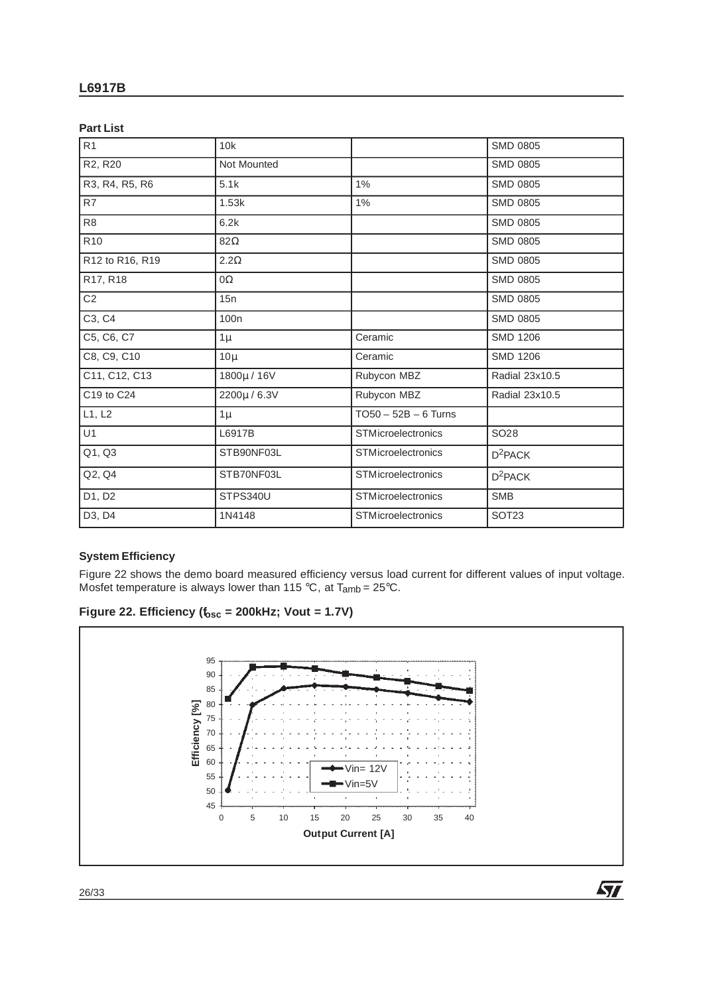## **Part List**

| R <sub>1</sub>  | 10k              |                           | <b>SMD 0805</b>   |
|-----------------|------------------|---------------------------|-------------------|
| R2, R20         | Not Mounted      |                           | <b>SMD 0805</b>   |
| R3, R4, R5, R6  | 5.1k             | $1\%$                     | <b>SMD 0805</b>   |
| R7              | 1.53k            | 1%                        | <b>SMD 0805</b>   |
| R <sub>8</sub>  | 6.2k             |                           | <b>SMD 0805</b>   |
| R <sub>10</sub> | $82\Omega$       |                           | <b>SMD 0805</b>   |
| R12 to R16, R19 | $2.2\Omega$      |                           | <b>SMD 0805</b>   |
| R17, R18        | $0\Omega$        |                           | <b>SMD 0805</b>   |
| C <sub>2</sub>  | 15n              |                           | <b>SMD 0805</b>   |
| C3, C4          | 100 <sub>n</sub> |                           | <b>SMD 0805</b>   |
| C5, C6, C7      | $1\mu$           | Ceramic                   | <b>SMD 1206</b>   |
| C8, C9, C10     | $10\mu$          | Ceramic                   | <b>SMD 1206</b>   |
| C11, C12, C13   | 1800μ / 16V      | Rubycon MBZ               | Radial 23x10.5    |
| C19 to C24      | 2200µ / 6.3V     | Rubycon MBZ               | Radial 23x10.5    |
| L1, L2          | $1\mu$           | $TO50 - 52B - 6$ Turns    |                   |
| U1              | L6917B           | <b>STMicroelectronics</b> | SO28              |
| Q1, Q3          | STB90NF03L       | STMicroelectronics        | $D^2$ PACK        |
| Q2, Q4          | STB70NF03L       | <b>STMicroelectronics</b> | $D^2$ PACK        |
| D1, D2          | STPS340U         | <b>STMicroelectronics</b> | <b>SMB</b>        |
| D3, D4          | 1N4148           | STMicroelectronics        | SOT <sub>23</sub> |

## **System Efficiency**

Figure 22 shows the demo board measured efficiency versus load current for different values of input voltage. Mosfet temperature is always lower than 115 °C, at  $T_{amb} = 25$ °C.



 $\sqrt{27}$ 

## **Figure 22. Efficiency (fosc = 200kHz; Vout = 1.7V)**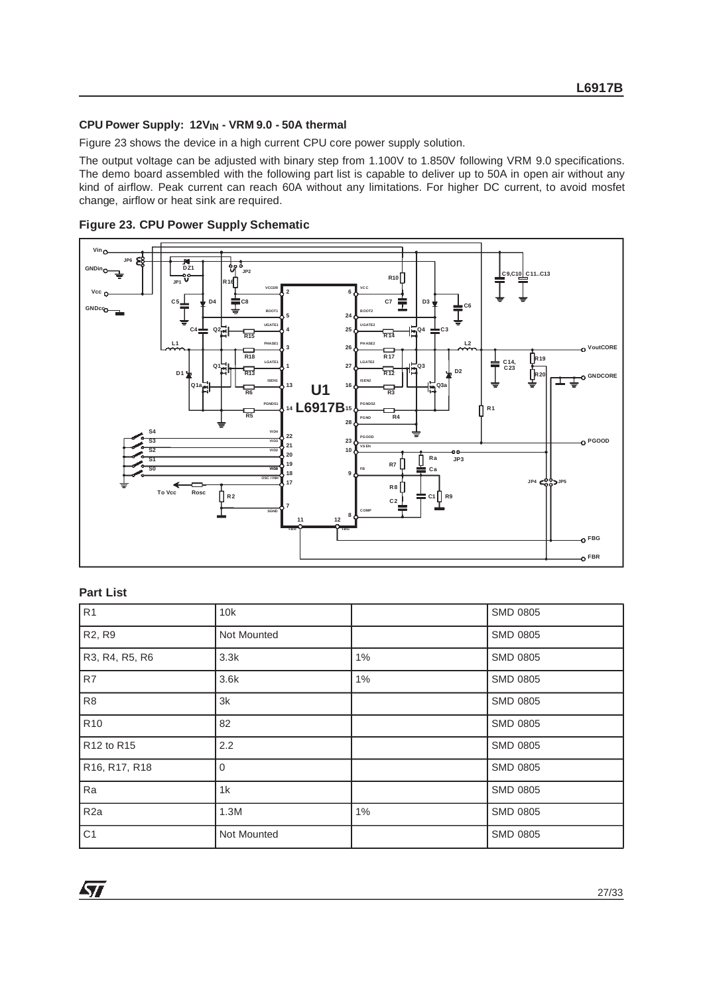## **CPU Power Supply: 12VIN - VRM 9.0 - 50A thermal**

Figure 23 shows the device in a high current CPU core power supply solution.

The output voltage can be adjusted with binary step from 1.100V to 1.850V following VRM 9.0 specifications. The demo board assembled with the following part list is capable to deliver up to 50A in open air without any kind of airflow. Peak current can reach 60A without any limitations. For higher DC current, to avoid mosfet change, airflow or heat sink are required.



## **Figure 23. CPU Power Supply Schematic**

#### **Part List**

| R <sub>1</sub>  | 10k         |       | <b>SMD 0805</b> |
|-----------------|-------------|-------|-----------------|
| R2, R9          | Not Mounted |       | <b>SMD 0805</b> |
| R3, R4, R5, R6  | 3.3k        | $1\%$ | <b>SMD 0805</b> |
| R7              | 3.6k        | $1\%$ | <b>SMD 0805</b> |
| R <sub>8</sub>  | 3k          |       | <b>SMD 0805</b> |
| <b>R10</b>      | 82          |       | <b>SMD 0805</b> |
| R12 to R15      | 2.2         |       | <b>SMD 0805</b> |
| R16, R17, R18   | $\mathbf 0$ |       | <b>SMD 0805</b> |
| Ra              | 1k          |       | SMD 0805        |
| R <sub>2a</sub> | 1.3M        | 1%    | SMD 0805        |
| C <sub>1</sub>  | Not Mounted |       | <b>SMD 0805</b> |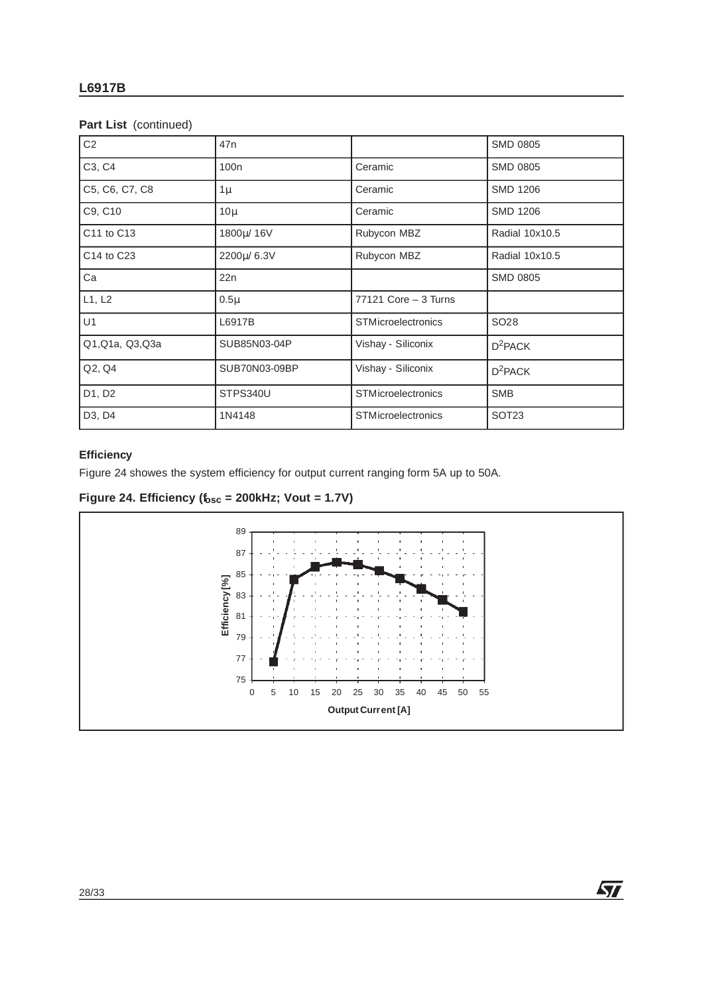## Part List (continued)

| C <sub>2</sub>                  | 47 <sub>n</sub>  |                           | <b>SMD 0805</b>   |
|---------------------------------|------------------|---------------------------|-------------------|
| C <sub>3</sub> , C <sub>4</sub> | 100 <sub>n</sub> | Ceramic                   | <b>SMD 0805</b>   |
| C5, C6, C7, C8                  | $1\mu$           | Ceramic                   | <b>SMD 1206</b>   |
| C9, C10                         | $10\mu$          | Ceramic                   | <b>SMD 1206</b>   |
| C11 to C13                      | 1800µ/ 16V       | Rubycon MBZ               | Radial 10x10.5    |
| C14 to C23                      | 2200µ/ 6.3V      | Rubycon MBZ               | Radial 10x10.5    |
| Ca                              | 22n              |                           | <b>SMD 0805</b>   |
| L1, L2                          | $0.5\mu$         | $77121$ Core $-3$ Turns   |                   |
| U1                              | L6917B           | STMicroelectronics        | SO <sub>28</sub>  |
| Q1, Q1a, Q3, Q3a                | SUB85N03-04P     | Vishay - Siliconix        | $D^2$ PACK        |
| Q2, Q4                          | SUB70N03-09BP    | Vishay - Siliconix        | $D^2$ PACK        |
| D1, D2                          | STPS340U         | <b>STMicroelectronics</b> | <b>SMB</b>        |
| D3, D4                          | 1N4148           | <b>STMicroelectronics</b> | SOT <sub>23</sub> |

## **Efficiency**

Figure 24 showes the system efficiency for output current ranging form 5A up to 50A.

## **Figure 24. Efficiency (fosc = 200kHz; Vout = 1.7V)**



 $\sqrt{M}$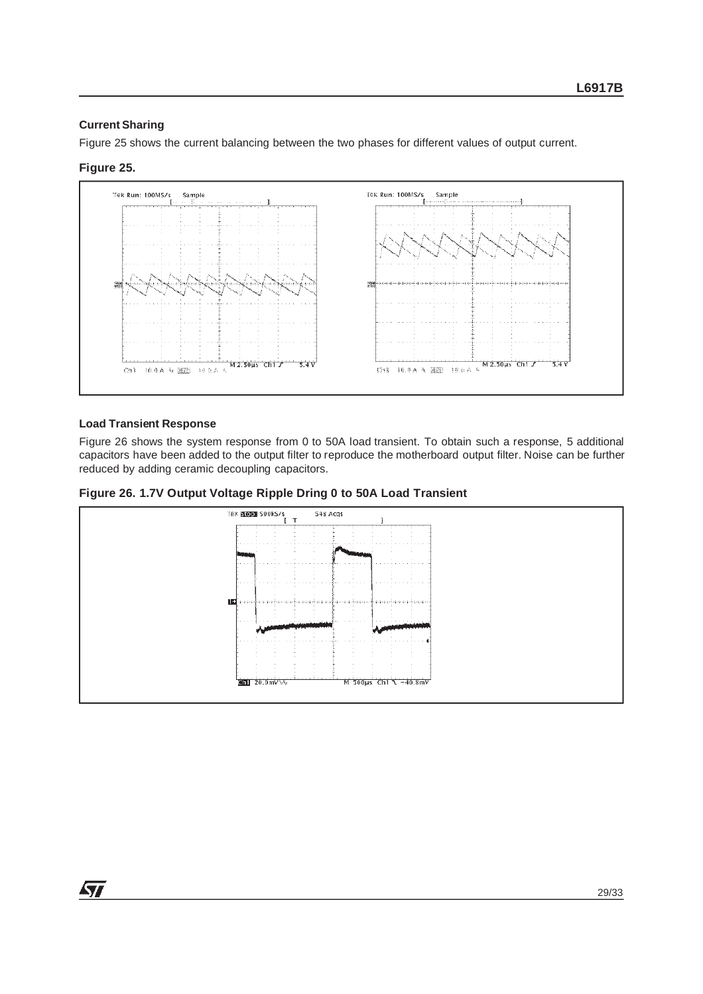## **Current Sharing**

Figure 25 shows the current balancing between the two phases for different values of output current.

## **Figure 25.**



## **Load Transient Response**

Figure 26 shows the system response from 0 to 50A load transient. To obtain such a response, 5 additional capacitors have been added to the output filter to reproduce the motherboard output filter. Noise can be further reduced by adding ceramic decoupling capacitors.

**Figure 26. 1.7V Output Voltage Ripple Dring 0 to 50A Load Transient**



**ST**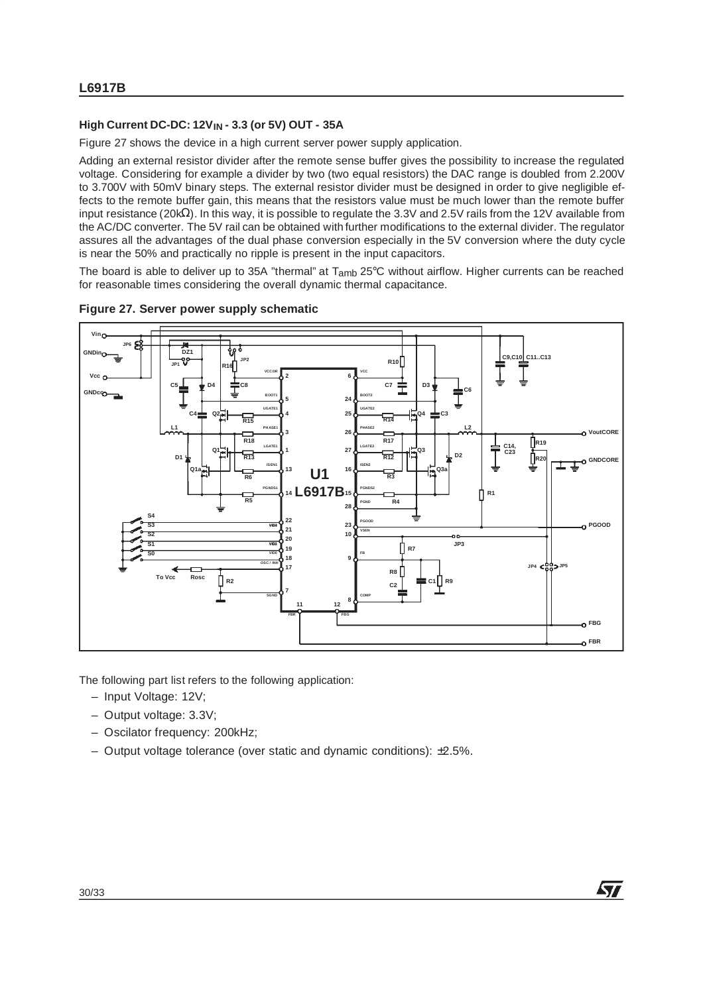## **High Current DC-DC: 12VIN - 3.3 (or 5V) OUT - 35A**

Figure 27 shows the device in a high current server power supply application.

Adding an external resistor divider after the remote sense buffer gives the possibility to increase the regulated voltage. Considering for example a divider by two (two equal resistors) the DAC range is doubled from 2.200V to 3.700V with 50mV binary steps. The external resistor divider must be designed in order to give negligible effects to the remote buffer gain, this means that the resistors value must be much lower than the remote buffer input resistance (20kΩ). In this way, it is possible to regulate the 3.3V and 2.5V rails from the 12V available from the AC/DC converter. The 5V rail can be obtained with further modifications to the external divider. The regulator assures all the advantages of the dual phase conversion especially in the 5V conversion where the duty cycle is near the 50% and practically no ripple is present in the input capacitors.

The board is able to deliver up to 35A "thermal" at T<sub>amb</sub> 25°C without airflow. Higher currents can be reached for reasonable times considering the overall dynamic thermal capacitance.



57



The following part list refers to the following application:

- Input Voltage: 12V;
- Output voltage: 3.3V;
- Oscilator frequency: 200kHz;
- Output voltage tolerance (over static and dynamic conditions): ±2.5%.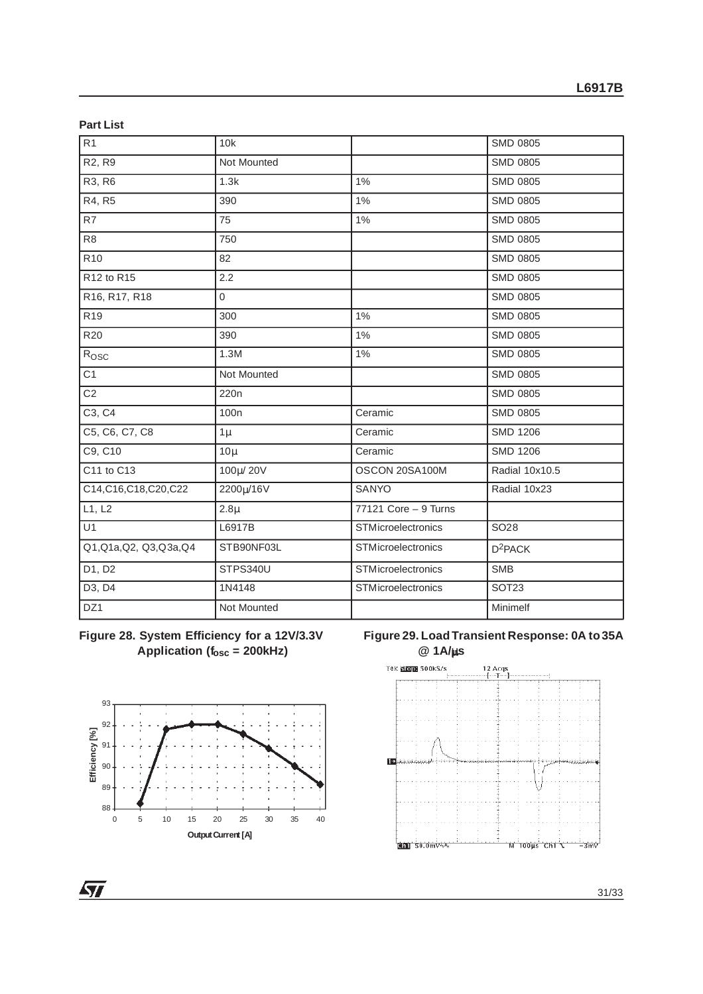| R <sub>1</sub>                  | 10k              |                      | <b>SMD 0805</b>   |
|---------------------------------|------------------|----------------------|-------------------|
| R <sub>2</sub> , R <sub>9</sub> | Not Mounted      |                      | <b>SMD 0805</b>   |
| R3, R6                          | 1.3k             | 1%                   | <b>SMD 0805</b>   |
| R4, R5                          | 390              | $1\%$                | <b>SMD 0805</b>   |
| R7                              | 75               | $1\%$                | <b>SMD 0805</b>   |
| R8                              | 750              |                      | <b>SMD 0805</b>   |
| R <sub>10</sub>                 | 82               |                      | <b>SMD 0805</b>   |
| R12 to R15                      | 2.2              |                      | <b>SMD 0805</b>   |
| R16, R17, R18                   | $\mathbf 0$      |                      | <b>SMD 0805</b>   |
| R <sub>19</sub>                 | 300              | 1%                   | <b>SMD 0805</b>   |
| R <sub>20</sub>                 | 390              | $1\%$                | <b>SMD 0805</b>   |
| Rosc                            | 1.3M             | $1\%$                | <b>SMD 0805</b>   |
| C1                              | Not Mounted      |                      | <b>SMD 0805</b>   |
| C <sub>2</sub>                  | 220 <sub>n</sub> |                      | <b>SMD 0805</b>   |
| C3, C4                          | 100 <sub>n</sub> | Ceramic              | <b>SMD 0805</b>   |
| C5, C6, C7, C8                  | $1\mu$           | Ceramic              | <b>SMD 1206</b>   |
| C9, C10                         | $10\mu$          | Ceramic              | <b>SMD 1206</b>   |
| C11 to C13                      | 100µ/20V         | OSCON 20SA100M       | Radial 10x10.5    |
| C14,C16,C18,C20,C22             | 2200µ/16V        | SANYO                | Radial 10x23      |
| L1, L2                          | $2.8\mu$         | 77121 Core - 9 Turns |                   |
| U1                              | L6917B           | STMicroelectronics   | SO <sub>28</sub>  |
| Q1,Q1a,Q2, Q3,Q3a,Q4            | STB90NF03L       | STMicroelectronics   | $D^2$ PACK        |
| D1, D2                          | STPS340U         | STMicroelectronics   | <b>SMB</b>        |
| D3, D4                          | 1N4148           | STMicroelectronics   | SOT <sub>23</sub> |
| DZ1                             | Not Mounted      |                      | Minimelf          |
|                                 |                  |                      |                   |

#### **Part List**

**Figure 28. System Efficiency for a 12V/3.3V Application (fosc = 200kHz)**







 $\sqrt{27}$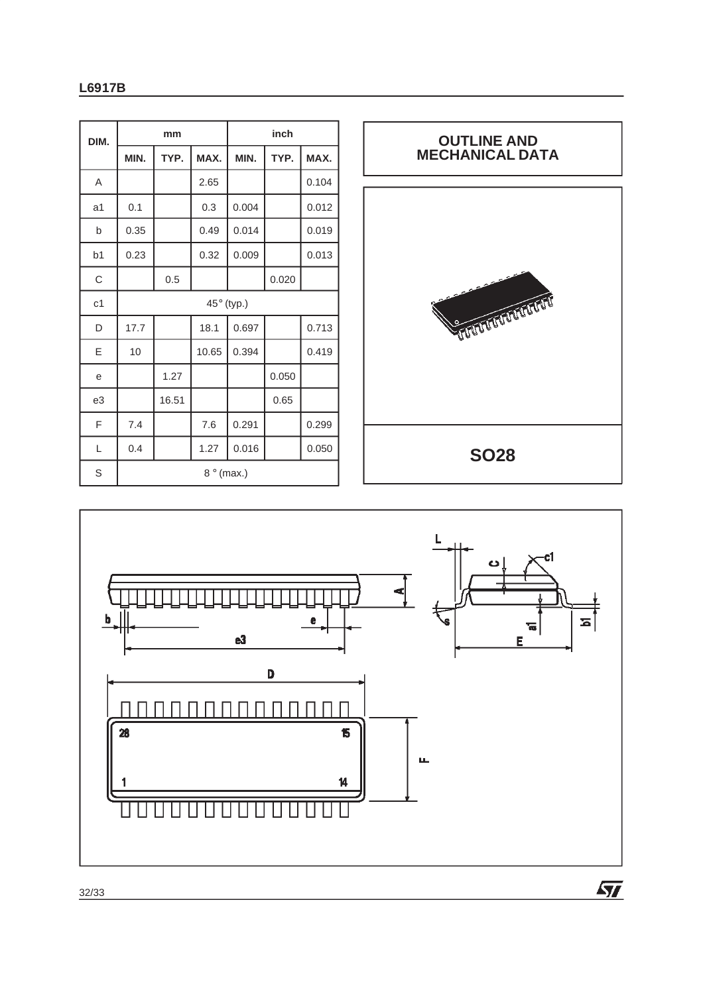| DIM.           | mm          |       |       | inch  |       |       |
|----------------|-------------|-------|-------|-------|-------|-------|
|                | MIN.        | TYP.  | MAX.  | MIN.  | TYP.  | MAX.  |
| A              |             |       | 2.65  |       |       | 0.104 |
| a <sub>1</sub> | 0.1         |       | 0.3   | 0.004 |       | 0.012 |
| b              | 0.35        |       | 0.49  | 0.014 |       | 0.019 |
| b1             | 0.23        |       | 0.32  | 0.009 |       | 0.013 |
| C              |             | 0.5   |       |       | 0.020 |       |
| c <sub>1</sub> | 45° (typ.)  |       |       |       |       |       |
| D              | 17.7        |       | 18.1  | 0.697 |       | 0.713 |
| Ε              | 10          |       | 10.65 | 0.394 |       | 0.419 |
| e              |             | 1.27  |       |       | 0.050 |       |
| e3             |             | 16.51 |       |       | 0.65  |       |
| F              | 7.4         |       | 7.6   | 0.291 |       | 0.299 |
| L              | 0.4         |       | 1.27  | 0.016 |       | 0.050 |
| S              | $8°$ (max.) |       |       |       |       |       |





32/33